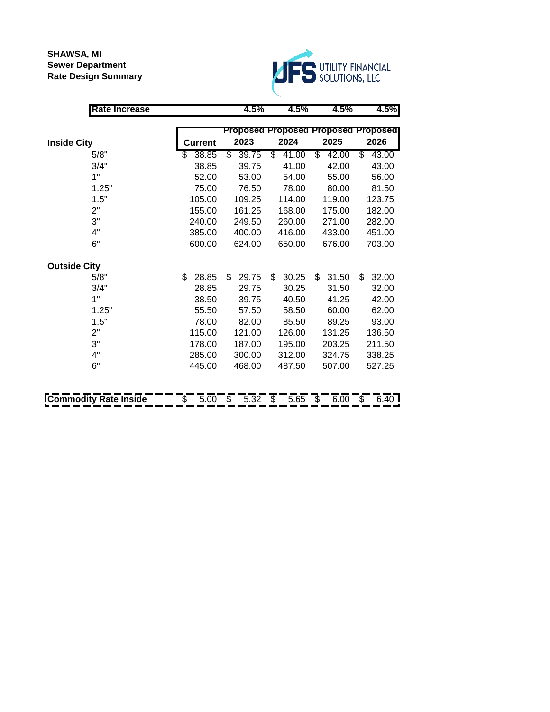**SHAWSA, MI Sewer Department Rate Design Summary**



| 4.5%<br>4.5%                        | 4.5%        |
|-------------------------------------|-------------|
| Proposed Proposed Proposed Proposed |             |
| 2025                                | 2026        |
| \$<br>42.00                         | S<br>43.00  |
| 42.00                               | 43.00       |
| 55.00                               | 56.00       |
| 80.00                               | 81.50       |
| 119.00                              | 123.75      |
| 175.00                              | 182.00      |
| 271.00                              | 282.00      |
| 433.00                              | 451.00      |
| 676.00                              | 703.00      |
|                                     |             |
| \$<br>31.50                         | \$<br>32.00 |
| 31.50                               | 32.00       |
| 41.25                               | 42.00       |
| 60.00                               | 62.00       |
| 89.25                               | 93.00       |
| 131.25                              | 136.50      |
| 203.25                              | 211.50      |
| 324.75                              | 338.25      |
| 507.00                              | 527.25      |
|                                     |             |
| 5.65<br>$6.00 -$<br>\$              | 6.40<br>\$. |
|                                     |             |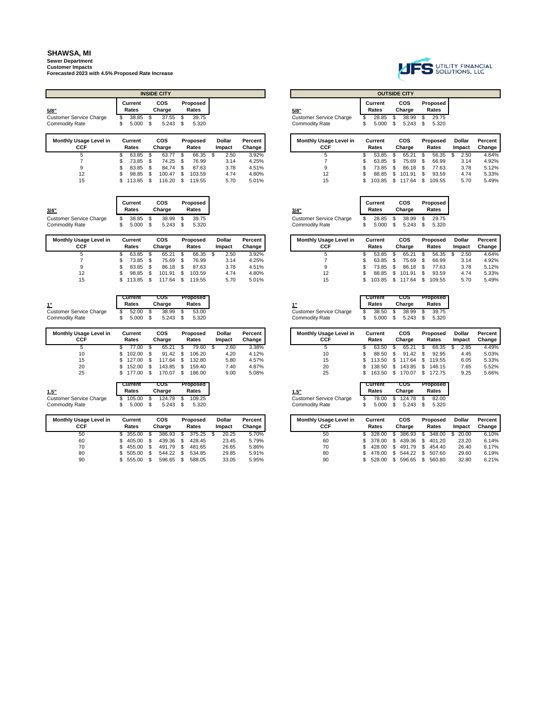# **Sewer Department Customer Impacts**

**Forecasted 2023 with 4.5% Proposed Rate Increase**

|                                      |                  |   | <b>INSIDE CITY</b>   |    |                   |                         |                   |                                             |    |                  |     | <b>OUTSIDE CITY</b>  |      |                   |
|--------------------------------------|------------------|---|----------------------|----|-------------------|-------------------------|-------------------|---------------------------------------------|----|------------------|-----|----------------------|------|-------------------|
| 5/8"                                 | Current<br>Rates |   | <b>COS</b><br>Charge |    | Proposed<br>Rates |                         |                   | 5/8"                                        |    | Current<br>Rates |     | <b>COS</b><br>Charge |      | Proposed<br>Rates |
| <b>Customer Service Charge</b>       | 38.85            | S | 37.55                | -S | 39.75             |                         |                   | <b>Customer Service Charge</b>              |    | 28.85            | S   | 38.99                |      | 29.75             |
| <b>Commodity Rate</b>                | \$<br>5.000 S    |   | $5.243$ \$           |    | 5.320             |                         |                   | <b>Commodity Rate</b>                       | S  | 5.000            | S   | 5.243                | S    | 5.320             |
| <b>Monthly Usage Level in</b><br>CCF | Current<br>Rates |   | <b>COS</b><br>Charge |    | Proposed<br>Rates | <b>Dollar</b><br>Impact | Percent<br>Change | <b>Monthly Usage Level in</b><br><b>CCF</b> |    | Current<br>Rates |     | <b>COS</b><br>Charge |      | Proposed<br>Rates |
| 5                                    | 63.85 \$         |   | 63.77                |    | 66.35             | 2.50                    | 3.92%             | 5                                           |    | 53.85            |     | 65.21                |      | 56.35             |
|                                      | 73.85 \$         |   | $74.25$ \$           |    | 76.99             | 3.14                    | 4.25%             |                                             |    | 63.85            | \$. | 75.69                | - S  | 66.99             |
| 9                                    | 83.85 \$         |   | 84.74 \$             |    | 87.63             | 3.78                    | 4.51%             | 9                                           |    | 73.85            | \$. | 86.18                | -S   | 77.63             |
| 12                                   | \$<br>98.85 \$   |   | $100.47$ \$          |    | 103.59            | 4.74                    | 4.80%             | 12                                          | s  | 88.85            | \$. | 101.91               | - \$ | 93.59             |
| 15                                   | \$<br>113.85 \$  |   | 116.20 \$            |    | 119.55            | 5.70                    | 5.01%             | 15                                          | S. | 103.85           | \$. | 117.64               | S    | 109.55            |

| 3/4"                                                    | Current<br>Rates | COS<br>Charge  | Proposed<br>Rates | 3/4"                                             | Current<br>Rates | COS<br>Charge       | Proposed<br>Rates |
|---------------------------------------------------------|------------------|----------------|-------------------|--------------------------------------------------|------------------|---------------------|-------------------|
| <b>Customer Service Charge</b><br><b>Commodity Rate</b> | 38.85<br>5.000   | 38.99<br>5.243 | 39.75<br>5.320    | <b>Customer Service Charge</b><br>Commoditv Rate | 28.85<br>5.000   | 38.99<br>$5.243$ \$ | 29.75<br>5.320    |

| <b>Monthly Usage Level in</b><br><b>CCF</b> | Current<br>Rates | cos<br>Charge | Proposed<br>Rates | Dollar<br>Impact | Percent<br>Change |
|---------------------------------------------|------------------|---------------|-------------------|------------------|-------------------|
|                                             | 63.85            | 65.21         | 66.35             | 2.50             | 3.92%             |
|                                             | 73.85            | 75.69         | 76.99             | 3.14             | 4.25%             |
| $\Omega$                                    | 83.85            | 86.18         | 87.63             | 3.78             | 4.51%             |
| 12                                          | 98.85            | 101.91        | 103.59            | 4.74             | 4.80%             |
| 15                                          | 13.85            | 117.64        | 119.55            | 5.70             | 5.01%             |

| 1"                             |    | Current<br>Rates |      | cos<br>Charge |      | Proposed<br>Rates |
|--------------------------------|----|------------------|------|---------------|------|-------------------|
| <b>Customer Service Charge</b> | S. | 52.00            | - \$ | 38.99         | - \$ | 53.00             |
| <b>Commodity Rate</b>          |    | 5.000            | - \$ | 5.243         |      | 5.320             |

| <b>Monthly Usage Level in</b> | Current | COS    | Proposed | Dollar | Percent | <b>Monthly Usage Level in</b> | Current | cos       | Proposed | <b>Dollar</b> | Percent |
|-------------------------------|---------|--------|----------|--------|---------|-------------------------------|---------|-----------|----------|---------------|---------|
| <b>CCF</b>                    | Rates   | Charge | Rates    | Impact | Change  | CCF                           | Rates   | Charge    | Rates    | Impact        | Change  |
|                               | 77.00   | 65.21  | 79.60    | 2.60   | 3.38%   |                               | 63.50   | 65.21     | 66.35    | 2.85          | 4.49%   |
| 10                            | 102.00  | 91.42  | 106.20   | 4.20   | 4.12%   | 10                            | 88.50   | 91.42     | 92.95    | 4.45          | 5.03%   |
| 15                            | 127.00  | 117.64 | 132.80   | 5.80   | 4.57%   | 15                            | 113.50  | 117.64    | 119.55   | 6.05          | 5.33%   |
| 20                            | 152.00  | 143.85 | 159.40   | 7.40   | 4.87%   | 20                            | 138.50  | 143.85 \$ | 146.15   | 7.65          | 5.52%   |
| 25                            | 177.00  | 170.07 | 186.00   | 9.00   | 5.08%   | 25                            | 163.50  | 170.07    | 172.75   | 9.25          | 5.66%   |

| 1.5"                    | Current<br>Rates | COS<br>Charge | Proposed<br>Rates |
|-------------------------|------------------|---------------|-------------------|
| Customer Service Charge | 105.00           | 124.78 \$     | 109.25            |
| <b>Commodity Rate</b>   | 5.000            | 5.243         | 5.320             |

| <b>Monthly Usage Level in</b><br>CCF | Current<br>Rates |     | cos<br>Charge |     | <b>Proposed</b><br>Rates | <b>Dollar</b><br>Impact | Percent<br>Change |
|--------------------------------------|------------------|-----|---------------|-----|--------------------------|-------------------------|-------------------|
| 50                                   | 355.00           | \$. | 386.93        | \$. | 375.25                   | 20.25                   | 5.70%             |
| 60                                   | 405.00           | S   | 439.36        | \$. | 428.45                   | 23.45                   | 5.79%             |
| 70                                   | 455.00           |     | 491.79        | \$. | 481.65                   | 26.65                   | 5.86%             |
| 80                                   | 505.00           | S   | 544.22        | \$. | 534.85                   | 29.85                   | 5.91%             |
| 90                                   | 555.00           |     | 596.65        | \$. | 588.05                   | 33.05                   | 5.95%             |



|  | <b>INSIDE CITY</b>   |                   |  |                                |                  | <b>OUTSIDE CITY</b> |                          |
|--|----------------------|-------------------|--|--------------------------------|------------------|---------------------|--------------------------|
|  | <b>COS</b><br>Charge | Proposed<br>Rates |  | 5/8"                           | Current<br>Rates | COS<br>Charge       | <b>Proposed</b><br>Rates |
|  | 37.55                | 39.75             |  | <b>Customer Service Charge</b> | 28.85            | 38.99               | 29.75                    |
|  | 5.243                | 5.320             |  | <b>Commodity Rate</b>          | 5.000            | \$<br>5.243         | 5.320                    |

| sage Level in<br>:CF | Current<br>Rates | cos<br>Charge |     | <b>Proposed</b><br>Rates | Dollar<br>Impact | Percent<br>Change | <b>Monthly Usage Level in</b><br>CCF | Current<br>Rates | cos<br>Charge    | Proposed<br>Rates | <b>Dollar</b><br>Impact | Percent<br>Change |
|----------------------|------------------|---------------|-----|--------------------------|------------------|-------------------|--------------------------------------|------------------|------------------|-------------------|-------------------------|-------------------|
| 5                    | 63.85            | 63.77         |     | 66.35                    | 2.50             | 3.92%             |                                      | 53.85            | 65.21            | 56.35             | 2.50                    | 4.64%             |
|                      | 73.85            | 74.25         |     | 76.99                    | 3.14             | 4.25%             |                                      | 63.85            | 75.69            | 66.99             | 3.14                    | 4.92%             |
| 9                    | 83.85            | 84.74         | \$. | 87.63                    | 3.78             | 4.51%             |                                      | 73.85 \$         | 86.18            | 77.63             | 3.78                    | 5.12%             |
| 12                   | 98.85            | 100.47        |     | 103.59                   | 4.74             | 4.80%             |                                      | 88.85 \$         | 101.91           | 93.59             | 4.74                    | 5.33%             |
| 15                   | 113.85           | 116.20        |     | 119.55                   | 5.70             | 5.01%             | 15                                   |                  | 103.85 \$ 117.64 | 109.55            | 5.70                    | 5.49%             |

| /4"                    |   | Current<br>Rates |      | <b>COS</b><br>Charge |      | Proposed<br>Rates |
|------------------------|---|------------------|------|----------------------|------|-------------------|
| ustomer Service Charge |   | 28.85            | - \$ | 38.99                | - \$ | 29.75             |
| ommodity Rate          | s | 5.000            | \$.  | 5.243                | - \$ | 5.320             |

| sage Level in<br>:CF | Current<br>Rates | cos<br>Charge | Proposed<br>Rates | <b>Dollar</b><br>Impact | <b>Percent</b><br>Change | <b>Monthly Usage Level in</b><br>CCF | Current<br>Rates | COS<br>Charge        | Proposed<br>Rates | <b>Dollar</b><br>Impact | Percent<br>Change                          |
|----------------------|------------------|---------------|-------------------|-------------------------|--------------------------|--------------------------------------|------------------|----------------------|-------------------|-------------------------|--------------------------------------------|
| 5                    | 63.85            | 65.21         | 66.35             | 2.50                    | 3.92%                    |                                      | 53.85            | 65.21                | 56.35             | 2.50                    | 4.64%                                      |
|                      | 73.85            | 75.69         | 76.99             | 3.14                    | 4.25%                    |                                      | 63.85            | 75.69                | 66.99             | 3.14                    | 4.92%                                      |
| 9                    | 83.85            | 86.18         | 87.63             | 3.78                    | 4.51%                    |                                      | 73.85            | 86.18                | 77.63             | 3.78                    | 5.12%                                      |
| 12                   | 98.85            | 101.91        | 103.59            | 4.74                    | 4.80%                    |                                      | 88.85            | 101.91               | 93.59             | 4.74                    | 5.33%                                      |
| 15                   | 112 95           | 11761         | <b>110 EE</b>     | <b>5.70</b>             | E 010/                   | <b>15</b>                            |                  | $102$ OF $C$ $117c1$ | <b>100 55</b>     | <b>570</b>              | $E$ $A$ $\Omega$ <sup><math>O</math></sup> |

| sage Level in<br>:CF | Current<br>Rates | cos<br>Charge | Proposed<br>Rates | Dollar<br>Impact | Percent<br>Change | <b>Monthly Usage Level in</b><br>CCF | Current<br>Rates | <b>COS</b><br>Charge | Proposed<br>Rates | Dollar<br>Impact | Percent<br>Change |
|----------------------|------------------|---------------|-------------------|------------------|-------------------|--------------------------------------|------------------|----------------------|-------------------|------------------|-------------------|
| 5                    | 77.00            | 65.21         | 79.60             | 2.60             | 3.38%             |                                      | 63.50            | 65.21                | 66.35             | 2.85             | 4.49%             |
| 10                   | 102.00           | 91.42         | 106.20            | 4.20             | 4.12%             | 10                                   | 88.50            | 91.42                | 92.95             | 4.45             | 5.03%             |
| 15                   | 127.00           | 17.64         | 132.80            | 5.80             | 4.57%             | 15                                   | 113.50           | 117.64               | 119.55            | 6.05             | 5.33%             |
| 20                   | 152.00           | 143.85        | 159.40            | 7.40             | 4.87%             | 20                                   | 138.50           | 143.85               | 146.15            | 7.65             | 5.52%             |
| 25                   | 177.00           | 70.07         | 186.00            | 9.00             | 5.08%             | 25                                   | 163.50           | 170.07               | 172.75            | 9.25             | 5.66%             |

| 1.5"                           |
|--------------------------------|
| <b>Customer Service Charge</b> |
| Commodity Dota                 |

Ī

|                   |   | Current<br>Rates |      | cos<br>Charge |      | <b>Proposed</b><br>Rates |
|-------------------|---|------------------|------|---------------|------|--------------------------|
| er Service Charge | s | 78.00            |      | $$124.78$ \$  |      | 82.00                    |
| dity Rate         | S | 5.000            | - \$ | 5.243         | - \$ | 5.320                    |

| sage Level in<br>:CF | Current<br>Rates | cos<br>Charge | Proposed<br>Rates | <b>Dollar</b><br>Impact | Percent<br>Change | <b>Monthly Usage Level in</b><br>CCF | Current<br>Rates | COS<br>Charge    | Proposed<br>Rates | <b>Dollar</b><br>Impact | Percent<br><b>Change</b> |
|----------------------|------------------|---------------|-------------------|-------------------------|-------------------|--------------------------------------|------------------|------------------|-------------------|-------------------------|--------------------------|
| 50                   | 355.00           | 386.93        | 375.25            | 20.25                   | 5.70%             | 50                                   | 328.00           | 386.93           | 348.00            | 20.00                   |                          |
| 60                   | 405.00           | 439.36        | 428.45            | 23.45                   | 5.79%             | 60                                   | 378.00           | 439.36           | \$401.20          | 23.20                   |                          |
| 70                   | 455.00           | 491.79        | 481.65            | 26.65                   | 5.86%             | 70                                   | 428.00 \$        | 491.79 \$ 454.40 |                   | 26.40                   |                          |
| 80                   | 505.00           | 544.22        | 534.85            | 29.85                   | 5.91%             | 80                                   | 478.00 \$        | 544.22 \$ 507.60 |                   | 29.60                   |                          |
| 90                   | 555.00           | 596.65        | 588.05            | 33.05                   | 5.95%             | 90                                   | 528.00           | 596.65           | 560.80            | 32.80                   |                          |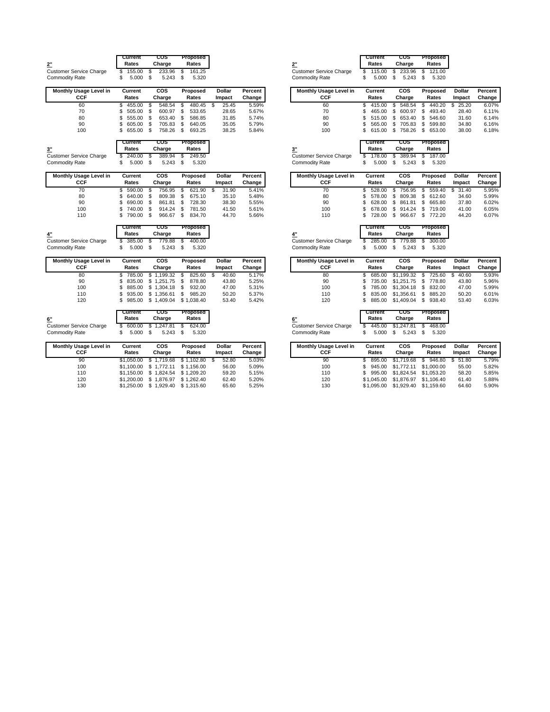|                                      | Current<br>Rates    | COS<br>Charge | Proposed<br>Rates |               |                |                                      | Current<br>Rates | cos<br>Charge | Proposed<br>Rates |
|--------------------------------------|---------------------|---------------|-------------------|---------------|----------------|--------------------------------------|------------------|---------------|-------------------|
| 2"<br><b>Customer Service Charge</b> | \$<br>155.00        | \$<br>233.96  | 161.25<br>\$      |               |                | 2"<br><b>Customer Service Charge</b> | \$<br>115.00     | \$<br>233.96  | 121.00<br>\$      |
| <b>Commodity Rate</b>                | \$<br>5.000         | \$<br>5.243   | \$<br>5.320       |               |                | <b>Commodity Rate</b>                | \$<br>5.000      | \$<br>5.243   | S<br>5.320        |
| Monthly Usage Level in               | Current             | COS           | Proposed          | <b>Dollar</b> | Percent        | Monthly Usage Level in               | Current          | COS           | Proposed          |
| <b>CCF</b>                           | Rates               | Charge        | Rates             | Impact        | Change         | <b>CCF</b>                           | Rates            | Charge        | Rates             |
| 60                                   | \$<br>455.00        | \$<br>548.54  | 480.45<br>\$      | -\$<br>25.45  | 5.59%          | 60                                   | \$<br>415.00     | \$<br>548.54  | 440.20<br>\$      |
| 70                                   | \$<br>505.00        | \$<br>600.97  | 533.65<br>\$      | 28.65         | 5.67%          | 70                                   | S<br>465.00      | \$<br>600.97  | \$<br>493.40      |
| 80                                   | \$<br>555.00        | S<br>653.40   | 586.85<br>\$      | 31.85         | 5.74%          | 80                                   | S<br>515.00      | S<br>653.40   | 546.60<br>S       |
| 90                                   | \$<br>605.00        | \$<br>705.83  | \$<br>640.05      | 35.05         | 5.79%          | 90                                   | 565.00<br>\$     | S<br>705.83   | S<br>599.80       |
| 100                                  | \$<br>655.00        | Ŝ.<br>758.26  | \$<br>693.25      | 38.25         | 5.84%          | 100                                  | 615.00           | \$<br>758.26  | \$<br>653.00      |
|                                      | Current             | cos           | Proposed          |               |                |                                      | Current          | cos           | Proposed          |
| 3"                                   | Rates               | Charge        | Rates             |               |                | 3"                                   | Rates            | Charge        | Rates             |
| <b>Customer Service Charge</b>       | \$<br>240.00        | \$<br>389.94  | \$<br>249.50      |               |                | <b>Customer Service Charge</b>       | \$<br>178.00     | \$<br>389.94  | \$<br>187.00      |
| <b>Commodity Rate</b>                | \$<br>5.000         | \$<br>5.243   | \$<br>5.320       |               |                | <b>Commodity Rate</b>                | \$<br>5.000      | \$<br>5.243   | \$<br>5.320       |
| Monthly Usage Level in               | Current             | <b>COS</b>    | Proposed          | <b>Dollar</b> | Percent        | Monthly Usage Level in               | Current          | <b>COS</b>    | Proposed          |
| <b>CCF</b>                           | Rates               | Charge        | Rates             | Impact        | Change         | <b>CCF</b>                           | Rates            | Charge        | Rates             |
| 70                                   | \$<br>590.00        | S<br>756.95   | 621.90<br>\$      | -S<br>31.90   | 5.41%          | 70                                   | S<br>528.00      | \$<br>756.95  | 559.40<br>S       |
| 80                                   | 640.00<br>\$        | \$<br>809.38  | \$<br>675.10      | 35.10         | 5.48%          | 80                                   | S<br>578.00      | \$<br>809.38  | S<br>612.60       |
| 90                                   | \$<br>690.00        | \$<br>861.81  | \$<br>728.30      | 38.30         | 5.55%          | 90                                   | S<br>628.00      | \$<br>861.81  | \$<br>665.80      |
| 100                                  | \$<br>740.00        | \$<br>914.24  | \$<br>781.50      | 41.50         | 5.61%          | 100                                  | S<br>678.00      | \$<br>914.24  | \$<br>719.00      |
| 110                                  | \$<br>790.00        | \$<br>966.67  | \$<br>834.70      | 44.70         | 5.66%          | 110                                  | Ś<br>728.00      | \$<br>966.67  | \$<br>772.20      |
|                                      | Current             | cos           | Proposed          |               |                |                                      | Current          | cos           | Proposed          |
| 4"                                   | Rates               | Charge        | Rates             |               |                | 4"                                   | Rates            | Charge        | Rates             |
| <b>Customer Service Charge</b>       | 385.00<br>\$        | S<br>779.88   | 400.00<br>\$      |               |                | <b>Customer Service Charge</b>       | 285.00           | \$<br>779.88  | 300.00<br>S       |
| <b>Commodity Rate</b>                | \$<br>5.000         | Ŝ.<br>5.243   | \$<br>5.320       |               |                | Commodity Rate                       | \$<br>5.000      | S<br>5.243    | 5.320<br>S        |
| Monthly Usage Level in               | Current             | cos           | Proposed          | Dollar        | Percent        | Monthly Usage Level in               | Current          | <b>COS</b>    | Proposed          |
| CCF                                  | Rates               | Charge        | Rates             | Impact        | Change         | <b>CCF</b>                           | Rates            | Charge        | Rates             |
| 80                                   | \$<br>785.00        | \$1.199.32    | 825.60<br>\$.     | 40.60<br>-S   | 5.17%          | 80                                   | S<br>685.00      | \$1,199.32    | 725.60<br>S       |
| 90                                   | \$<br>835.00        | \$1.251.75    | 878.80<br>\$      | 43.80         | 5.25%          | 90                                   | S<br>735.00      | \$1,251.75    | 778.80<br>S       |
| 100                                  | \$<br>885.00        | \$1.304.18    | 932.00<br>\$      | 47.00         | 5.31%          | 100                                  | \$<br>785.00     | \$1,304.18    | 832.00<br>\$      |
| 110                                  | \$<br>935.00        | \$1.356.61    | \$<br>985.20      | 50.20         | 5.37%          | 110                                  | S<br>835.00      | \$1,356.61    | S<br>885.20       |
| 120                                  | \$<br>985.00        | \$1,409.04    | \$1,038.40        | 53.40         | 5.42%          | 120                                  | Ś<br>885.00      | \$1,409.04    | \$<br>938.40      |
|                                      | Current             | cos           | Proposed          |               |                |                                      | Current          | cos           | Proposed          |
| 6"                                   | Rates               | Charge        | Rates             |               |                | 6"                                   | Rates            | Charge        | Rates             |
| <b>Customer Service Charge</b>       | \$<br>600.00        | S<br>1,247.81 | 624.00<br>\$      |               |                | <b>Customer Service Charge</b>       | \$<br>445.00     | \$1,247.81    | 468.00<br>S       |
| <b>Commodity Rate</b>                | \$<br>5.000         | S<br>5.243    | \$<br>5.320       |               |                | <b>Commodity Rate</b>                | \$<br>5.000      | \$<br>5.243   | 5.320<br>\$       |
| Monthly Hengo Loval in               | P <sub>irrank</sub> | rne           | <b>Dronocod</b>   | Dollar        | <b>Doroont</b> | Monthly Heago Loval in               | $C$ urront       | rne           | <b>Dronnend</b>   |

| Monthly Usage Level in<br>CCF | Current<br>Rates | <b>COS</b><br>Charge | Proposed<br>Rates | <b>Dollar</b><br>Impact | Percent  <br>Change |
|-------------------------------|------------------|----------------------|-------------------|-------------------------|---------------------|
| 90                            | \$1,050,00       | \$1.719.68           | \$1.102.80        | 52.80                   | 5.03%               |
| 100                           | \$1,100,00       | \$1.772.11           | \$1.156.00        | 56.00                   | 5.09%               |
| 110                           | \$1.150.00       | \$1.824.54           | \$1.209.20        | 59.20                   | 5.15%               |
| 120                           | \$1,200,00       | \$1.876.97           | \$1.262.40        | 62.40                   | 5.20%               |
| 130                           | \$1,250.00       | 1.929.40<br>\$       | \$1.315.60        | 65.60                   | 5.25%               |

|                                    | Current                     | cos                           | Proposed                    |                |                |                                                         | Current                     | cos                       | Proposed                    |                |
|------------------------------------|-----------------------------|-------------------------------|-----------------------------|----------------|----------------|---------------------------------------------------------|-----------------------------|---------------------------|-----------------------------|----------------|
|                                    | Rates                       | Charge                        | Rates                       |                |                | 2"                                                      | Rates                       | Charge                    | Rates                       |                |
| rvice Charge                       | 155.00<br>\$                | \$<br>233.96                  | \$<br>161.25                |                |                | <b>Customer Service Charge</b>                          | \$<br>115.00                | \$<br>233.96              | \$<br>121.00                |                |
| ate:                               | \$<br>5.000                 | \$<br>5.243                   | \$<br>5.320                 |                |                | <b>Commodity Rate</b>                                   | \$<br>5.000                 | \$<br>5.243               | \$<br>5.320                 |                |
| sage Level in                      | Current                     | cos                           | Proposed                    | Dollar         | Percent        | <b>Monthly Usage Level in</b>                           | Current                     | cos                       | Proposed                    | Dollar         |
| CCF                                | Rates                       | Charge                        | Rates                       | Impact         | Change         | CCF                                                     | Rates                       | Charge                    | Rates                       | Impact         |
| 60                                 | 455.00<br>\$                | 548.54<br>S                   | 480.45<br>\$                | 25.45<br>S     | 5.59%          | 60                                                      | 415.00<br>\$                | 548.54<br>\$              | 440.20<br>S                 | 25.20<br>\$    |
| 70                                 | \$<br>505.00                | \$<br>600.97                  | \$<br>533.65                | 28.65          | 5.67%          | 70                                                      | S<br>465.00                 | \$<br>600.97              | \$<br>493.40                | 28.40          |
| 80                                 | \$<br>555.00                | \$<br>653.40                  | 586.85<br>\$                | 31.85          | 5.74%          | 80                                                      | S<br>515.00                 | \$<br>653.40              | S<br>546.60                 | 31.60          |
| 90                                 | \$<br>605.00                | \$<br>705.83                  | \$<br>640.05                | 35.05          | 5.79%          | 90                                                      | 565.00<br>\$                | \$<br>705.83              | \$<br>599.80                | 34.80          |
| 100                                | \$<br>655.00                | \$<br>758.26                  | \$<br>693.25                | 38.25          | 5.84%          | 100                                                     | \$<br>615.00                | \$<br>758.26              | \$653.00                    | 38.00          |
|                                    | Current                     | cos                           | Proposed                    |                |                |                                                         | Current                     | cos                       | Proposed                    |                |
|                                    | Rates                       | Charge                        | Rates                       |                |                | 3"                                                      | Rates                       | Charge                    | Rates                       |                |
| rvice Charge                       | 240.00<br>\$                | \$<br>389.94                  | 249.50<br>\$                |                |                | <b>Customer Service Charge</b>                          | 178.00<br>\$                | 389.94<br>\$              | \$<br>187.00                |                |
| ate:                               | \$<br>5.000                 | Ŝ.<br>5.243                   | 5.320<br>\$                 |                |                | <b>Commodity Rate</b>                                   | \$<br>5.000                 | \$<br>5.243               | \$<br>5.320                 |                |
| sage Level in                      | Current                     | cos                           | Proposed                    | Dollar         | Percent        | Monthly Usage Level in                                  | Current                     | COS                       | Proposed                    | Dollar         |
| CCF                                | Rates                       | Charge                        | Rates                       | Impact         | Change         | CCF                                                     | Rates                       | Charge                    | Rates                       | Impact         |
| 70                                 | \$<br>590.00                | \$<br>756.95                  | 621.90<br>\$                | \$<br>31.90    | 5.41%          | 70                                                      | \$<br>528.00                | \$<br>756.95              | \$<br>559.40                | \$<br>31.40    |
| 80                                 | \$<br>640.00                | \$<br>809.38                  | \$<br>675.10                | 35.10          | 5.48%          | 80                                                      | \$<br>578.00                | \$<br>809.38              | \$<br>612.60                | 34.60          |
| 90                                 | \$<br>690.00                | \$<br>861.81                  | \$<br>728.30                | 38.30          | 5.55%          | 90                                                      | 628.00<br>S                 | \$<br>861.81              | \$<br>665.80                | 37.80          |
| 100                                | \$<br>740.00                | \$<br>914.24                  | \$<br>781.50                | 41.50          | 5.61%          | 100                                                     | 678.00<br>\$                | \$<br>914.24              | \$<br>719.00                | 41.00          |
| 110                                | \$<br>790.00                | \$<br>966.67                  | \$<br>834.70                | 44.70          | 5.66%          | 110                                                     | 728.00<br>\$                | \$<br>966.67              | \$ 772.20                   | 44.20          |
|                                    | Current<br>Rates            | cos<br>Charge                 | Proposed<br>Rates           |                |                |                                                         | Current<br>Rates            | cos<br>Charge             | Proposed<br>Rates           |                |
|                                    |                             |                               |                             |                |                | 4"                                                      |                             |                           |                             |                |
| rvice Charge                       | 385.00<br>\$                | - \$<br>779.88                | \$<br>400.00                |                |                | <b>Customer Service Charge</b>                          | S<br>285.00                 | \$<br>779.88              | \$<br>300.00                |                |
| ate:                               | \$<br>5.000                 | \$<br>5.243                   | \$<br>5.320                 |                |                | <b>Commodity Rate</b>                                   | \$<br>5.000                 | \$<br>5.243               | \$<br>5.320                 |                |
| sage Level in                      | Current                     | cos                           | Proposed                    | Dollar         | Percent        | Monthly Usage Level in                                  | Current                     | <b>COS</b>                | Proposed                    | Dollar         |
| CCF                                | Rates                       | Charge                        | Rates                       | Impact         | Change         | CCF                                                     | Rates                       | Charge                    | Rates                       | Impact         |
| 80                                 | 785.00<br>\$                | \$1,199.32                    | \$<br>825.60                | - \$<br>40.60  | 5.17%          | 80                                                      | \$<br>685.00                | \$1,199.32                | \$<br>725.60                | \$<br>40.60    |
| 90                                 | \$<br>835.00                | \$1,251.75                    | 878.80<br>\$                | 43.80          | 5.25%          | 90                                                      | 735.00<br>\$                | \$1,251.75                | \$<br>778.80                | 43.80          |
| 100                                | \$<br>885.00                | \$1,304.18                    | 932.00<br>\$                | 47.00          | 5.31%          | 100                                                     | S<br>785.00                 | \$1,304.18                | \$<br>832.00                | 47.00          |
| 110                                | \$<br>935.00                | \$1,356.61                    | 985.20<br>\$                | 50.20          | 5.37%          | 110                                                     | 835.00<br>ς                 | \$1,356.61                | \$<br>885.20                | 50.20          |
| 120                                | \$<br>985.00                | \$1,409.04                    | \$1,038.40                  | 53.40          | 5.42%          | 120                                                     | 885.00<br>\$                | \$1,409.04                | \$<br>938.40                | 53.40          |
|                                    | Current<br>Rates            | cos                           | Proposed                    |                |                |                                                         | Current<br>Rates            | cos                       | Proposed                    |                |
|                                    |                             | Charge                        | Rates                       |                |                | 6"                                                      |                             | Charge                    | Rates                       |                |
| rvice Charge                       | \$<br>600.00<br>\$<br>5.000 | 1,247.81<br>\$<br>\$<br>5.243 | \$<br>624.00<br>\$<br>5.320 |                |                | <b>Customer Service Charge</b><br><b>Commodity Rate</b> | 445.00<br>\$<br>\$<br>5.000 | \$1,247.81<br>\$<br>5.243 | \$<br>468.00<br>\$<br>5.320 |                |
|                                    |                             |                               |                             |                |                | <b>Monthly Usage Level in</b>                           | Current                     | COS                       | Proposed                    | <b>Dollar</b>  |
|                                    | Current                     | COS                           | Proposed                    | <b>Dollar</b>  | Percent        | CCF                                                     |                             |                           |                             |                |
|                                    | Rates                       | Charge                        | Rates                       | Impact         | Change         |                                                         | Rates                       | Charge                    | Rates                       | Impact         |
|                                    |                             |                               |                             |                |                |                                                         |                             |                           |                             |                |
| ate:<br>sage Level in<br>CCF<br>90 | \$1,050.00                  | \$1,719.68                    | \$1,102.80                  | 52.80<br>\$    | 5.03%          | 90                                                      | \$<br>895.00                | \$1,719.68                | 946.80<br>\$                | \$51.80        |
| 100                                | \$1,100.00                  | \$1,772.11                    | \$1,156.00                  | 56.00          | 5.09%          | 100                                                     | \$<br>945.00                | \$1,772.11                | \$1,000.00                  | 55.00          |
| 110<br>120                         | \$1,150.00<br>\$1,200.00    | \$1,824.54<br>\$1,876.97      | \$1,209.20<br>\$1,262.40    | 59.20<br>62.40 | 5.15%<br>5.20% | 110<br>120                                              | \$<br>995.00<br>\$1,045.00  | \$1,824.54<br>\$1,876.97  | \$1,053.20<br>\$1,106.40    | 58.20<br>61.40 |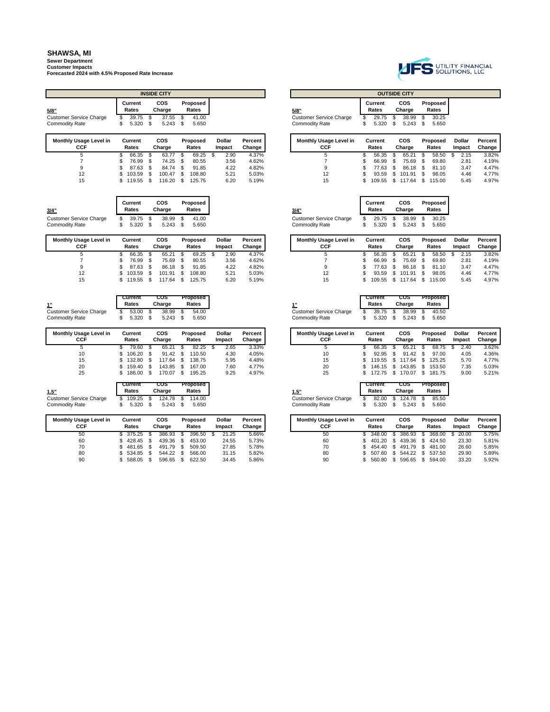**Sewer Department Customer Impacts Forecasted 2024 with 4.5% Proposed Rate Increase**

|                                      |   |                  | <b>INSIDE CITY</b> |                          |                         |                   |                                      |    |                  |    | <b>OUTSIDE CITY</b>  |                   |
|--------------------------------------|---|------------------|--------------------|--------------------------|-------------------------|-------------------|--------------------------------------|----|------------------|----|----------------------|-------------------|
| 5/8"                                 |   | Current<br>Rates | COS<br>Charge      | Proposed<br>Rates        |                         |                   | 5/8"                                 |    | Current<br>Rates |    | <b>COS</b><br>Charge | Proposed<br>Rates |
| <b>Customer Service Charge</b>       |   | 39.75            | 37.55              | 41.00                    |                         |                   | <b>Customer Service Charge</b>       |    | 29.75            |    | 38.99                | 30.25             |
| <b>Commodity Rate</b>                |   | 5.320            | $5.243$ \$         | 5.650                    |                         |                   | <b>Commodity Rate</b>                | S. | 5.320            |    | 5.243                | 5.650             |
| <b>Monthly Usage Level in</b><br>CCF |   | Current<br>Rates | COS<br>Charge      | <b>Proposed</b><br>Rates | <b>Dollar</b><br>Impact | Percent<br>Change | <b>Monthly Usage Level in</b><br>CCF |    | Current<br>Rates |    | <b>COS</b><br>Charge | Proposed<br>Rates |
|                                      |   | 66.35            | 63.77              | 69.25                    | 2.90                    | 4.37%             | 5                                    |    | 56.35            |    | 65.21                | 58.50             |
|                                      | S | 76.99            | 74.25              | 80.55                    | 3.56                    | 4.62%             |                                      | S  | 66.99            | £. | 75.69                | 69.80             |

| 3/4"                    | Current<br>Rates | <b>COS</b><br>Charge | Proposed<br>Rates | 3/4"                           | Current<br>Rates | COS<br>Charge | Proposed<br>Rates |
|-------------------------|------------------|----------------------|-------------------|--------------------------------|------------------|---------------|-------------------|
| Customer Service Charge | 39.75            | 38.99 \$             | 41.00             | <b>Customer Service Charge</b> | 29.75            | 38.99 \$      | 30.25             |
| <b>Commodity Rate</b>   | 5.320            | 5.243                | 5.650             | Commoditv Rate                 | 5.320            | 5.243         | 5.650             |

| <b>Monthly Usage Level in</b><br>CCF | Current<br>Rates |     | cos<br>Charge |     | Proposed<br>Rates | Dollar<br>Impact | Percent<br>Change |
|--------------------------------------|------------------|-----|---------------|-----|-------------------|------------------|-------------------|
| 5                                    | 66.35            | \$. | 65.21         | S   | 69.25             | 2.90             | 4.37%             |
|                                      | 76.99            | \$. | 75.69         | \$  | 80.55             | 3.56             | 4.62%             |
| 9                                    | 87.63            | \$. | 86.18         | £.  | 91.85             | 4.22             | 4.82%             |
| 12                                   | 103.59           | \$. | 101.91        | \$. | 108.80            | 5.21             | 5.03%             |
| 15                                   | 11055            |     | <b>117 64</b> | ¢   | 12575             | 6.20             | 5 1 0 %           |

| 38.99 \$<br>39.75<br>Customer Service Charge |
|----------------------------------------------|
|                                              |

| Monthly Usage Level in<br>CCF |     | Current<br>Rates |     | <b>COS</b><br>Charge |      | Proposed<br>Rates |      | <b>Dollar</b><br>Impact | Percent<br>Change |
|-------------------------------|-----|------------------|-----|----------------------|------|-------------------|------|-------------------------|-------------------|
| 5                             |     | 79.60            | \$. | 65.21                | \$   | 82.25             | - \$ | 2.65                    | 3.33%             |
| 10                            | S.  | 106.20           | \$. | 91.42                | - \$ | 110.50            |      | 4.30                    | 4.05%             |
| 15                            | SS. | 132.80           | \$. | 117.64               | \$   | 138.75            |      | 5.95                    | 4.48%             |
| 20                            | S.  | 159.40           | \$. | 143.85               | \$   | 167.00            |      | 7.60                    | 4.77%             |
| 25                            | S.  | 186.00           | S   | 170.07               |      | 195.25            |      | 9.25                    | 4.97%             |

| 1.5"                    | Current<br>Rates | COS<br>Charge | Proposed<br>Rates |
|-------------------------|------------------|---------------|-------------------|
| Customer Service Charge | $109.25$ \$      |               | 124.78 \$ 114.00  |
| <b>Commodity Rate</b>   | 5.320            | 5.243         | 5.650             |

| Monthly Usage Level in<br>CCF | Current<br>Rates |    | cos<br>Charge |     | <b>Proposed</b><br>Rates | <b>Dollar</b><br>Impact | Percent<br>Change |
|-------------------------------|------------------|----|---------------|-----|--------------------------|-------------------------|-------------------|
| 50                            | \$375.25         | \$ | 386.93        | \$  | 396.50                   | 21.25                   | 5.66%             |
| 60                            | 428.45           | \$ | 439.36        | \$. | 453.00                   | 24.55                   | 5.73%             |
| 70                            | 481.65           |    | 491.79        | \$  | 509.50                   | 27.85                   | 5.78%             |
| 80                            | 534.85           | S  | 544.22        | \$. | 566.00                   | 31.15                   | 5.82%             |
| 90                            | 588.05           |    | 596.65        | \$. | 622.50                   | 34.45                   | 5.86%             |



|  | <b>INSIDE CITY</b>   |                   |  |                                |                  | <b>OUTSIDE CITY</b>  |                          |
|--|----------------------|-------------------|--|--------------------------------|------------------|----------------------|--------------------------|
|  | <b>COS</b><br>Charge | Proposed<br>Rates |  | 5/8"                           | Current<br>Rates | <b>COS</b><br>Charge | <b>Proposed</b><br>Rates |
|  | 37.55                | 41.00             |  | <b>Customer Service Charge</b> | 29.75            | 38.99                | 30.25                    |
|  | 5.243                | 5.650             |  | <b>Commodity Rate</b>          | 5.320            | \$<br>5.243          | 5.650                    |

| sage Level in<br>:CF | Current<br>Rates | cos<br>Charge |     | <b>Proposed</b><br>Rates | Dollar<br>Impact | <b>Percent</b><br>Change | <b>Monthly Usage Level in</b><br>CCF | Current<br>Rates | cos<br>Charge    | <b>Proposed</b><br>Rates | <b>Dollar</b><br>Impact |  |
|----------------------|------------------|---------------|-----|--------------------------|------------------|--------------------------|--------------------------------------|------------------|------------------|--------------------------|-------------------------|--|
| 5                    | 66.35            | 63.77         |     | 69.25                    | 2.90             | 4.37%                    |                                      | 56.35            | 65.21            | 58.50                    | 2.15                    |  |
|                      | 76.99            | 74.25         |     | 80.55                    | 3.56             | 4.62%                    |                                      | 66.99            | 75.69            | 69.80                    | 2.81                    |  |
|                      | 87.63            | 84.74         | \$. | 91.85                    | 4.22             | 4.82%                    |                                      | 77.63 \$         | 86.18            | 81.10                    | 3.47                    |  |
| 12                   | 103.59           | 100.47        |     | 108.80                   | 5.21             | 5.03%                    |                                      | $93.59$ \$       | 101.91           | 98.05                    | 4.46                    |  |
| 15                   | 119.55           | 116.20        |     | 125.75                   | 6.20             | 5.19%                    | 15                                   |                  | 109.55 \$ 117.64 | 115.00                   | 5.45                    |  |

| <b>'4"</b>             |   | Current<br>Rates |     | <b>COS</b><br>Charge |      | Proposed<br>Rates |
|------------------------|---|------------------|-----|----------------------|------|-------------------|
| ustomer Service Charge | S | 29.75            | \$. | 38.99                | - \$ | 30.25             |
| ommodity Rate          |   | 5.320            | \$. | 5.243                | - \$ | 5.650             |

| sage Level in | Current<br>Rates | COS<br>Charge | Proposed<br>Rates | Dollar<br>Impact | Percent<br>Change |
|---------------|------------------|---------------|-------------------|------------------|-------------------|
|               | 66.35            | 65.21         | 69.25             | 2.90             | 4.37%             |
|               | 76.99            | 75.69         | 80.55             | 3.56             | 4.62%             |
|               | 87.63 \$         | 86.18         | 91.85             | 4.22             | 4.82%             |
|               | 103.59           | 101.91        | 108.80            | 5.21             | 5.03%             |
|               | 119.55           | 117.64        | 125.75            | 6.20             | 5.19%             |

| 1"                             | Current<br>Rates |    | cos<br>Charge |      | <b>Proposed</b><br>Rates |
|--------------------------------|------------------|----|---------------|------|--------------------------|
| <b>Customer Service Charge</b> | $39.75$ \$       |    | 38.99         | - \$ | 40.50                    |
| <b>Commodity Rate</b>          | 5.320            | -S | 5.243         | - \$ | 5.650                    |

**Cur** 

| sage Level in<br>:CF | Current<br>Rates | cos<br>Charge | Proposed<br>Rates | Dollar<br>Impact | <b>Percent</b> I<br>Change | <b>Monthly Usage Level in</b><br>CCF | Current<br>Rates | COS<br>Charge | Proposed<br>Rates | Dollar<br>Impact | Percent<br>Change |
|----------------------|------------------|---------------|-------------------|------------------|----------------------------|--------------------------------------|------------------|---------------|-------------------|------------------|-------------------|
| 5                    | 79.60            | 65.21         | 82.25             | 2.65             | 3.33%                      |                                      | 66.35            | 65.21         | 68.75             | 2.40             | 3.62%             |
| 10                   | 106.20           | 91.42         | 110.50            | 4.30             | 4.05%                      |                                      | 92.95            | 91.42         | 97.00             | 4.05             | 4.36%             |
| 15                   | 132.80           | 17.64         | 138.75            | 5.95             | 4.48%                      | 15                                   | 119.55           | 117.64        | 125.25            | 5.70             | 4.77%             |
| 20                   | 159.40           | 143.85        | 167.00            | 7.60             | 4.77%                      | 20                                   | 146.15           | 143.85        | 153.50            | 7.35             | 5.03%             |
| 25                   | 186.00           | 170.07        | 195.25            | 9.25             | 4.97%                      | 25                                   | 172.75           | 170.07        | 181.75            | 9.00             | 5.21%             |

| 1.5"                           |
|--------------------------------|
| <b>Customer Service Charge</b> |
| Commodity Pato                 |

Ĭ

|   | Current<br>Rates |     | cos<br>Charge |    | Proposed<br>Rates |
|---|------------------|-----|---------------|----|-------------------|
| ŝ | 82.00            | \$. | 124.78        | -S | 85.50             |
| ٠ | $F \cap D$       |     | $F \cap A$    |    | E CEO             |

| sage Level in<br>:CF | Current<br>Rates | cos<br>Charge | Proposed<br>Rates | Dollar<br>Impact | Percent<br>Change | <b>Monthly Usage Level in</b><br>CCF | Current<br>Rates |      | COS<br>Charge    | Proposed<br>Rates | Dollar<br>Impact | Percent<br>Change |
|----------------------|------------------|---------------|-------------------|------------------|-------------------|--------------------------------------|------------------|------|------------------|-------------------|------------------|-------------------|
| 50                   | 375.25           | 386.93        | 396.50            | 21.25            | 5.66%             | 50                                   | 348.00           |      | 386.93           | 368.00            | 20.00            | 5.75%             |
| 60                   | \$428.45         | 439.36        | 453.00            | 24.55            | 5.73%             | 60                                   | 401.20           |      | 439.36           | 424.50            | 23.30            | 5.81%             |
| 70                   | \$481.65         | 491.79        | 509.50            | 27.85            | 5.78%             | 70                                   | 454.40 \$        |      | 491.79 \$ 481.00 |                   | 26.60            | 5.85%             |
| 80                   | \$534.85         | 544.22        | 566.00            | 31.15            | 5.82%             | 80                                   | 507.60           | - \$ | 544.22 \$ 537.50 |                   | 29.90            | 5.89%             |
| 90                   | 588.05           | 596.65        | 622.50            | 34.45            | 5.86%             | 90                                   | 560.80           |      | 596.65           | 594.00            | 33.20            | 5.92%             |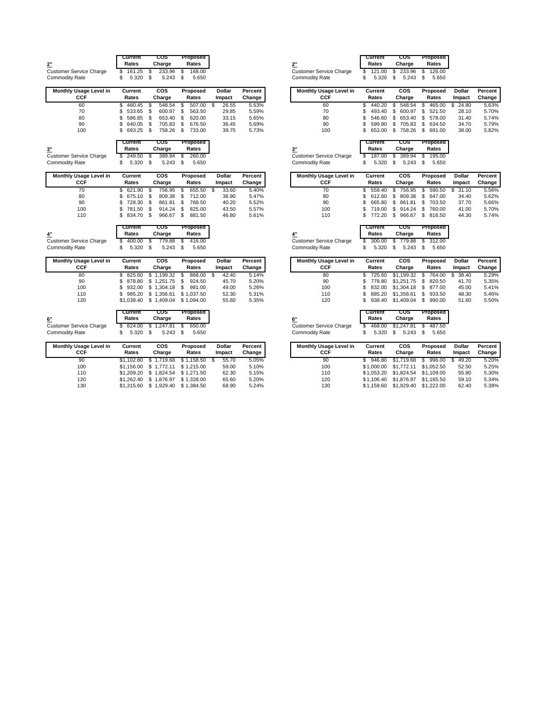|                                | Current      | cos            | Proposed        |               |         |                                | Current      | cos          | Proposed     |
|--------------------------------|--------------|----------------|-----------------|---------------|---------|--------------------------------|--------------|--------------|--------------|
| 2"                             | Rates        | Charge         | Rates           |               |         | 2"                             | Rates        | Charge       | Rates        |
| <b>Customer Service Charge</b> | 161.25<br>\$ | 233.96<br>S    | 168.00<br>\$    |               |         | <b>Customer Service Charge</b> | 121.00<br>S  | 233.96<br>S  | 126.00<br>S  |
| <b>Commodity Rate</b>          | 5.320<br>\$  | \$<br>5.243    | \$<br>5.650     |               |         | <b>Commodity Rate</b>          | \$<br>5.320  | S<br>5.243   | \$<br>5.650  |
| Monthly Usage Level in         | Current      | <b>COS</b>     | Proposed        | <b>Dollar</b> | Percent | Monthly Usage Level in         | Current      | <b>COS</b>   | Proposed     |
| CCF                            | Rates        | Charge         | Rates           | Impact        | Change  | CCF                            | Rates        | Charge       | Rates        |
| 60                             | \$<br>480.45 | 548.54<br>S    | 507.00<br>\$    | 26.55<br>-S   | 5.53%   | 60                             | 440.20<br>\$ | 548.54<br>\$ | 465.00<br>\$ |
| 70                             | \$<br>533.65 | S<br>600.97    | 563.50<br>\$    | 29.85         | 5.59%   | 70                             | S<br>493.40  | \$<br>600.97 | \$<br>521.50 |
| 80                             | \$<br>586.85 | \$<br>653.40   | \$<br>620.00    | 33.15         | 5.65%   | 80                             | S<br>546.60  | \$<br>653.40 | \$<br>578.00 |
| 90                             | \$<br>640.05 | S<br>705.83    | 676.50<br>\$    | 36.45         | 5.69%   | 90                             | 599.80<br>\$ | 705.83<br>\$ | S<br>634.50  |
| 100                            | 693.25<br>\$ | \$<br>758.26   | \$<br>733.00    | 39.75         | 5.73%   | 100                            | 653.00<br>S  | \$<br>758.26 | \$<br>691.00 |
|                                | Current      | cos            | Proposed        |               |         |                                | Current      | cos          | Proposed     |
| 3 <sup>''</sup>                | Rates        | Charge         | Rates           |               |         | 3"                             | Rates        | Charge       | Rates        |
| <b>Customer Service Charge</b> | 249.50<br>\$ | \$<br>389.94   | \$<br>260.00    |               |         | <b>Customer Service Charge</b> | 187.00       | \$<br>389.94 | \$<br>195.00 |
| <b>Commodity Rate</b>          | \$<br>5.320  | \$<br>5.243    | \$<br>5.650     |               |         | <b>Commodity Rate</b>          | \$<br>5.320  | \$<br>5.243  | \$<br>5.650  |
| <b>Monthly Usage Level in</b>  | Current      | cos            | Proposed        | Dollar        | Percent | <b>Monthly Usage Level in</b>  | Current      | cos          | Proposed     |
| <b>CCF</b>                     | Rates        | Charge         | Rates           | Impact        | Change  | <b>CCF</b>                     | Rates        | Charge       | Rates        |
| 70                             | 621.90<br>\$ | -S<br>756.95   | \$<br>655.50    | - \$<br>33.60 | 5.40%   | 70                             | \$<br>559.40 | \$<br>756.95 | 590.50<br>S  |
| 80                             | \$<br>675.10 | S<br>809.38    | \$<br>712.00    | 36.90         | 5.47%   | 80                             | S<br>612.60  | \$<br>809.38 | \$<br>647.00 |
| 90                             | \$<br>728.30 | \$<br>861.81   | \$<br>768.50    | 40.20         | 5.52%   | 90                             | Ś<br>665.80  | \$<br>861.81 | 703.50<br>\$ |
| 100                            | 781.50<br>\$ | S<br>914.24    | \$<br>825.00    | 43.50         | 5.57%   | 100                            | S<br>719.00  | \$<br>914.24 | S<br>760.00  |
| 110                            | \$<br>834.70 | S<br>966.67    | \$<br>881.50    | 46.80         | 5.61%   | 110                            | S<br>772.20  | \$<br>966.67 | S<br>816.50  |
|                                | Current      | cos            | Proposed        |               |         |                                | Current      | cos          | Proposed     |
| 4"                             | Rates        | Charge         | Rates           |               |         | 4"                             | Rates        | Charge       | Rates        |
| <b>Customer Service Charge</b> | 400.00<br>\$ | S<br>779.88    | \$<br>416.00    |               |         | <b>Customer Service Charge</b> | 300.00<br>S  | \$<br>779.88 | 312.00<br>S  |
| <b>Commodity Rate</b>          | \$<br>5.320  | \$<br>5.243    | \$<br>5.650     |               |         | <b>Commodity Rate</b>          | \$<br>5.320  | \$<br>5.243  | \$<br>5.650  |
| Monthly Usage Level in         | Current      | <b>COS</b>     | Proposed        | <b>Dollar</b> | Percent | Monthly Usage Level in         | Current      | <b>COS</b>   | Proposed     |
| <b>CCF</b>                     | Rates        | Charge         | Rates           | Impact        | Change  | <b>CCF</b>                     | Rates        | Charge       | Rates        |
| 80                             | 825.60<br>\$ | s.<br>1.199.32 | 868.00<br>\$    | -S<br>42.40   | 5.14%   | 80                             | S<br>725.60  | \$1.199.32   | 764.00<br>S  |
| 90                             | \$<br>878.80 | \$1.251.75     | \$<br>924.50    | 45.70         | 5.20%   | 90                             | S<br>778.80  | \$1,251.75   | 820.50<br>S  |
| 100                            | \$<br>932.00 | \$1.304.18     | \$<br>981.00    | 49.00         | 5.26%   | 100                            | 832.00<br>S  | \$1,304.18   | 877.00<br>S  |
| 110                            | 985.20<br>\$ | \$1,356.61     | \$1,037.50      | 52.30         | 5.31%   | 110                            | S<br>885.20  | \$1,356.61   | \$<br>933.50 |
| 120                            | \$1,038.40   | \$1,409.04     | \$1,094.00      | 55.60         | 5.35%   | 120                            | Ś<br>938.40  | \$1,409.04   | \$<br>990.00 |
|                                | Current      | COS            | Proposed        |               |         |                                | Current      | cos          | Proposed     |
| 6"                             | Rates        | Charge         | Rates           |               |         | 6"                             | Rates        | Charge       | Rates        |
| <b>Customer Service Charge</b> | \$<br>624.00 | \$1,247.81     | \$<br>650.00    |               |         | <b>Customer Service Charge</b> | \$<br>468.00 | \$1,247.81   | \$<br>487.50 |
| <b>Commodity Rate</b>          | \$<br>5.320  | \$<br>5.243    | \$<br>5.650     |               |         | <b>Commodity Rate</b>          | \$<br>5.320  | \$<br>5.243  | \$<br>5.650  |
| Monthly Usage Level in         | Current      | COS            | <b>Proposed</b> | <b>Dollar</b> | Percent | Monthly Usage Level in         | Current      | <b>COS</b>   | Proposed     |
| CCF                            | Rates        | Charge         | Rates           | Imnact        | Change  | CCF                            | Rates        | Charge       | Rates        |

|     | ------- | ---                                 | .          | -----  | .      |
|-----|---------|-------------------------------------|------------|--------|--------|
| CCF | Rates   | Charge                              | Rates      | Impact | Change |
| 90  |         | \$1,102.80 \$1,719.68 \$1,158.50 \$ |            | 55.70  | 5.05%  |
| 100 |         | \$1,156.00 \$ 1,772.11 \$ 1,215.00  |            | 59.00  | 5.10%  |
| 110 |         | \$1.209.20 \$1.824.54 \$1.271.50    |            | 62.30  | 5.15%  |
| 120 |         | \$1,262.40 \$1,876.97 \$1,328.00    |            | 65.60  | 5.20%  |
| 130 |         | \$1,315.60 \$ 1,929.40              | \$1.384.50 | 68.90  | 5.24%  |

|                                                                                      | Current      | cos                                  | Proposed     |                |                |                                | Current      | cos                      | Proposed     |                                               |
|--------------------------------------------------------------------------------------|--------------|--------------------------------------|--------------|----------------|----------------|--------------------------------|--------------|--------------------------|--------------|-----------------------------------------------|
|                                                                                      | Rates        | Charge                               | Rates        |                |                | <u>2"</u>                      | Rates        | Charge                   | Rates        |                                               |
| rvice Charge                                                                         | 161.25<br>\$ | 233.96<br>\$                         | \$<br>168.00 |                |                | <b>Customer Service Charge</b> | 121.00<br>\$ | 233.96<br>\$             | \$<br>126.00 |                                               |
| ate:                                                                                 | \$<br>5.320  | \$<br>5.243                          | 5.650<br>\$  |                |                | <b>Commodity Rate</b>          | \$<br>5.320  | \$<br>5.243              | \$<br>5.650  |                                               |
| sage Level in                                                                        | Current      | cos                                  | Proposed     | Dollar         | Percent        | <b>Monthly Usage Level in</b>  | Current      | cos                      | Proposed     |                                               |
| CCF                                                                                  | Rates        | Charge                               | Rates        | Impact         | Change         | CCF                            | Rates        | Charge                   | Rates        | Impact                                        |
| 60                                                                                   | 480.45<br>\$ | 548.54<br>\$                         | 507.00<br>\$ | S<br>26.55     | 5.53%          | 60                             | 440.20<br>\$ | \$<br>548.54             | 465.00<br>\$ | \$                                            |
| 70                                                                                   | \$<br>533.65 | \$<br>600.97                         | \$<br>563.50 | 29.85          | 5.59%          | 70                             | \$<br>493.40 | \$<br>600.97             | \$<br>521.50 |                                               |
| 80                                                                                   | \$<br>586.85 | \$<br>653.40                         | \$<br>620.00 | 33.15          | 5.65%          | 80                             | \$<br>546.60 | \$<br>653.40             | \$<br>578.00 |                                               |
| 90                                                                                   | \$<br>640.05 | \$<br>705.83                         | 676.50<br>\$ | 36.45          | 5.69%          | 90                             | \$<br>599.80 | \$<br>705.83             | \$<br>634.50 |                                               |
| 100                                                                                  | \$<br>693.25 | \$<br>758.26                         | \$<br>733.00 | 39.75          | 5.73%          | 100                            | \$<br>653.00 | \$<br>758.26             | \$<br>691.00 |                                               |
|                                                                                      | Current      | cos                                  | Proposed     |                |                |                                | Current      | cos                      | Proposed     |                                               |
|                                                                                      | Rates        | Charge                               | Rates        |                |                | 3"                             | Rates        | Charge                   | Rates        |                                               |
| rvice Charge                                                                         | 249.50<br>\$ | \$<br>389.94                         | \$<br>260.00 |                |                | <b>Customer Service Charge</b> | \$<br>187.00 | \$<br>389.94             | \$<br>195.00 |                                               |
| ate:                                                                                 | \$<br>5.320  | \$<br>5.243                          | \$<br>5.650  |                |                | <b>Commodity Rate</b>          | \$<br>5.320  | \$<br>5.243              | \$<br>5.650  |                                               |
| sage Level in                                                                        | Current      | <b>COS</b>                           | Proposed     | <b>Dollar</b>  | Percent        | Monthly Usage Level in         | Current      | COS                      | Proposed     |                                               |
| CCF                                                                                  | Rates        | Charge                               | Rates        | Impact         | Change         | CCF                            | Rates        | Charge                   | Rates        |                                               |
| 70                                                                                   | \$<br>621.90 | \$<br>756.95                         | \$<br>655.50 | \$<br>33.60    | 5.40%          | 70                             | \$<br>559.40 | \$<br>756.95             | 590.50<br>\$ | \$                                            |
| 80                                                                                   | \$<br>675.10 | \$<br>809.38                         | \$<br>712.00 | 36.90          | 5.47%          | 80                             | S<br>612.60  | \$<br>809.38             | \$<br>647.00 |                                               |
| 90                                                                                   | \$<br>728.30 | \$<br>861.81                         | \$<br>768.50 | 40.20          | 5.52%          | 90                             | 665.80<br>\$ | \$<br>861.81             | \$<br>703.50 |                                               |
| 100                                                                                  | \$<br>781.50 | \$<br>914.24                         | \$<br>825.00 | 43.50          | 5.57%          | 100                            | 719.00<br>\$ | \$<br>914.24             | \$<br>760.00 |                                               |
| 110                                                                                  | \$<br>834.70 | \$<br>966.67                         | 881.50<br>\$ | 46.80          | 5.61%          | 110                            | 772.20<br>\$ | \$<br>966.67             | \$<br>816.50 |                                               |
|                                                                                      | Current      | cos                                  | Proposed     |                |                |                                | Current      | cos                      | Proposed     |                                               |
|                                                                                      | Rates        | Charge                               | Rates        |                |                | 4"                             | Rates        | Charge                   | Rates        |                                               |
| rvice Charge                                                                         | 400.00<br>\$ | 779.88<br>S                          | 416.00<br>\$ |                |                | <b>Customer Service Charge</b> | 300.00<br>\$ | \$<br>779.88             | 312.00<br>\$ |                                               |
| ate:                                                                                 | \$<br>5.320  | \$<br>5.243                          | \$<br>5.650  |                |                | <b>Commodity Rate</b>          | \$<br>5.320  | \$<br>5.243              | \$<br>5.650  |                                               |
| sage Level in                                                                        | Current      | cos                                  | Proposed     | Dollar         | Percent        | Monthly Usage Level in         | Current      | cos                      | Proposed     | Dollar                                        |
| CCF                                                                                  | Rates        |                                      |              |                |                | CCF                            |              |                          |              |                                               |
| 80                                                                                   |              | Charge                               | Rates        | Impact         | Change         |                                | Rates        | Charge                   | Rates        |                                               |
|                                                                                      | \$<br>825.60 | \$1.199.32                           | \$<br>868.00 | 42.40<br>S     | 5.14%          | 80                             | \$<br>725.60 | \$1.199.32               | 764.00<br>S  |                                               |
|                                                                                      | \$<br>878.80 | \$1,251.75                           | 924.50<br>\$ | 45.70          | 5.20%          | 90                             | Ś<br>778.80  | \$1,251.75               | 820.50<br>\$ |                                               |
|                                                                                      | \$<br>932.00 | \$1,304.18                           | \$<br>981.00 | 49.00          | 5.26%          | 100                            | \$<br>832.00 | \$1,304.18               | \$<br>877.00 |                                               |
|                                                                                      | \$<br>985.20 | \$1,356.61                           | \$1,037.50   | 52.30          | 5.31%          | 110                            | \$<br>885.20 | \$1,356.61               | \$<br>933.50 |                                               |
|                                                                                      | \$1,038.40   | \$1,409.04                           | \$1,094.00   | 55.60          | 5.35%          | 120                            | \$<br>938.40 | \$1,409.04               | 990.00<br>\$ |                                               |
|                                                                                      | Current      | cos                                  | Proposed     |                |                |                                | Current      | cos                      | Proposed     |                                               |
|                                                                                      | Rates        | Charge                               | Rates        |                |                | 6"                             | Rates        | Charge                   | Rates        |                                               |
|                                                                                      | 624.00<br>\$ | \$1,247.81                           | \$<br>650.00 |                |                | <b>Customer Service Charge</b> | \$<br>468.00 | \$1,247.81               | \$<br>487.50 |                                               |
|                                                                                      | \$<br>5.320  | \$<br>5.243                          | \$<br>5.650  |                |                | <b>Commodity Rate</b>          | \$<br>5.320  | \$<br>5.243              | \$<br>5.650  |                                               |
|                                                                                      | Current      | cos                                  | Proposed     | <b>Dollar</b>  | Percent        | <b>Monthly Usage Level in</b>  | Current      | <b>COS</b>               | Proposed     |                                               |
|                                                                                      | Rates        | Charge                               | Rates        | Impact         | Change         | CCF                            | Rates        | Charge                   | Rates        |                                               |
|                                                                                      | \$1,102.80   | \$1,719.68                           | \$1,158.50   | \$<br>55.70    | 5.05%          | 90                             | \$<br>946.80 | \$1,719.68               | \$<br>996.00 |                                               |
| 90<br>100<br>110<br>120<br>rvice Charge<br>ate:<br>sage Level in<br>CCF<br>90<br>100 | \$1,156.00   | \$1,772.11                           | \$1,215.00   | 59.00          | 5.10%          | 100                            | \$1,000.00   | \$1,772.11               | \$1,052.50   |                                               |
| 110                                                                                  | \$1,209.20   | \$1,824.54                           | \$1,271.50   | 62.30          | 5.15%          | 110                            | \$1,053.20   | \$1,824.54               | \$1,109.00   |                                               |
| 120                                                                                  | \$1,262.40   | \$1,876.97<br>\$1,315.60 \$ 1,929.40 | \$1,328.00   | 65.60<br>68.90 | 5.20%<br>5.24% | 120<br>130                     | \$1,106.40   | \$1,876.97<br>\$1,929.40 | \$1,165.50   | Impact<br>\$<br><b>Dollar</b><br>Impact<br>\$ |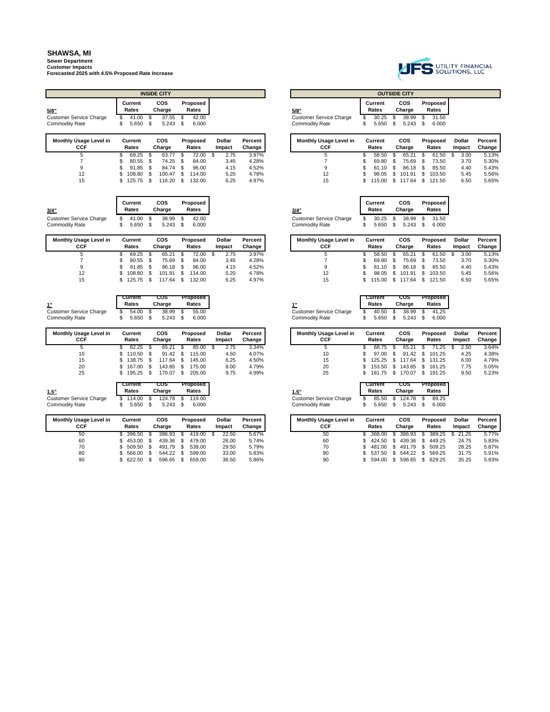**Sewer Department Customer Impacts Forecasted 2025 with 4.5% Proposed Rate Increase**

|                                                         |           |                  |        | <b>INSIDE CITY</b>   |          |                   |   |                         |                   |                                                         |         |                         |          | <b>OUTSIDE CITY</b>  |         |                   |
|---------------------------------------------------------|-----------|------------------|--------|----------------------|----------|-------------------|---|-------------------------|-------------------|---------------------------------------------------------|---------|-------------------------|----------|----------------------|---------|-------------------|
| 5/8"                                                    |           | Current<br>Rates |        | <b>COS</b><br>Charge |          | Proposed<br>Rates |   |                         |                   | 5/8"                                                    |         | <b>Current</b><br>Rates |          | <b>COS</b><br>Charge |         | Proposed<br>Rates |
| <b>Customer Service Charge</b>                          |           | 41.00            | \$.    | 37.55                | \$       | 42.00             |   |                         |                   | <b>Customer Service Charge</b>                          |         | 30.25                   | S        | 38.99                | £.      | 31.50             |
| <b>Commodity Rate</b>                                   | \$        | 5.650            | S      | 5.243                | \$.      | 6.000             |   |                         |                   | <b>Commodity Rate</b>                                   | S       | 5.650                   | S        | 5.243                | - \$    | 6.000             |
| Monthly Usage Level in                                  |           | Current          |        | <b>COS</b>           |          | Proposed          |   | <b>Dollar</b>           | Percent           | <b>Monthly Usage Level in</b>                           |         | Current                 |          | <b>COS</b>           |         | Proposed          |
| <b>CCF</b>                                              |           | Rates            |        | Charge               |          | Rates             |   | Impact                  | Change            | <b>CCF</b>                                              |         | Rates                   |          | Charge               |         | Rates             |
| 5                                                       | \$        | 69.25            | S      | 63.77                | \$       | 72.00             | S | 2.75                    | 3.97%             | 5                                                       | S       | 58.50                   | S        | 65.21                | - \$    | 61.50             |
| $\overline{7}$                                          | \$        | 80.55            | \$.    | 74.25                | \$       | 84.00             |   | 3.45                    | 4.28%             | 7                                                       | S       | 69.80                   | \$.      | 75.69                | - \$    | 73.50             |
| 9                                                       |           | 91.85            |        | 84.74                |          | 96.00             |   | 4.15                    | 4.52%             | 9                                                       |         | 81.10                   | \$.      | 86.18                |         | 85.50             |
| 12                                                      |           | 108.80           | \$.    | 100.47               | \$.      | 114.00            |   | 5.20                    | 4.78%             | 12                                                      |         | 98.05                   | \$.      | 101.91               | £.      | 103.50            |
| 15                                                      | \$        | 125.75           | S      | 116.20               | \$       | 132.00            |   | 6.25                    | 4.97%             | 15                                                      | S       | 115.00                  | \$       | 117.64               | S       | 121.50            |
|                                                         |           |                  |        |                      |          |                   |   |                         |                   |                                                         |         |                         |          |                      |         |                   |
|                                                         |           | Current<br>Rates |        | <b>COS</b>           |          | Proposed<br>Rates |   |                         |                   |                                                         |         | Current<br>Rates        |          | <b>COS</b>           |         | Proposed          |
| 3/4"                                                    |           |                  |        | Charge               |          |                   |   |                         |                   | 3/4"                                                    |         |                         |          | Charge               |         | Rates             |
| <b>Customer Service Charge</b><br><b>Commodity Rate</b> | \$.<br>\$ | 41.00<br>5.650   | S<br>S | 38.99<br>5.243       | \$<br>\$ | 42.00<br>6.000    |   |                         |                   | <b>Customer Service Charge</b><br><b>Commodity Rate</b> | S<br>\$ | 30.25<br>5.650          | \$<br>\$ | 38.99<br>5.243       | -S<br>S | 31.50<br>6.000    |
| Monthly Usage Level in<br><b>CCF</b>                    |           | Current<br>Rates |        | <b>COS</b><br>Charge |          | Proposed<br>Rates |   | <b>Dollar</b><br>Impact | Percent<br>Change | Monthly Usage Level in<br><b>CCF</b>                    |         | Current<br>Rates        |          | <b>COS</b><br>Charge |         | Proposed<br>Rates |
| 5                                                       | \$        | 69.25            | S      | 65.21                | Ŝ,       | 72.00             | S | 2.75                    | 3.97%             | 5                                                       | S       | 58.50                   | S        | 65.21                | - \$    | 61.50             |
| $\overline{7}$                                          | \$        | 80.55            | \$.    | 75.69                | \$       | 84.00             |   | 3.45                    | 4.28%             | 7                                                       |         | 69.80                   | \$.      | 75.69                | - \$    | 73.50             |
| 9                                                       | \$        | 91.85            |        | 86.18                | £.       | 96.00             |   | 4.15                    | 4.52%             | 9                                                       |         | 81.10                   | S        | 86.18                |         | 85.50             |
| 12                                                      |           | 108.80           | \$     | 101.91               | \$       | 114.00            |   | 5.20                    | 4.78%             | 12                                                      |         | 98.05                   | \$.      | 101.91               | £.      | 103.50            |
| 15                                                      | \$        | 125.75           | \$     | 117.64               | \$       | 132.00            |   | 6.25                    | 4.97%             | 15                                                      |         | 115.00                  | \$.      | 117.64               | S       | 121.50            |

|                             | Current | cos    | Proposed |                         | Current | cos        | Proposed |
|-----------------------------|---------|--------|----------|-------------------------|---------|------------|----------|
| 4 <sub>II</sub><br><u>.</u> | Rates   | Charge | Rates    |                         | Rates   | Charge     | Rates    |
| Customer Service Charge     | 54.00   | 38.99  | 55.00    | Customer Service Charge | 40.50   | 38.99 \$   | 41.25    |
| <b>Commodity Rate</b>       | 5.650   | 5.243  | 6.000    | Commoditv Rate          | 5.650   | $5.243$ \$ | 6.000    |

| Monthly Usage Level in<br>CCF |    | Current<br>Rates | <b>COS</b><br>Charge |        |      | Proposed<br>Rates |     | <b>Dollar</b><br>Impact | Percent<br>Change |
|-------------------------------|----|------------------|----------------------|--------|------|-------------------|-----|-------------------------|-------------------|
| 5                             |    | 82.25            | -S                   | 65.21  | \$.  | 85.00             | \$. | 2.75                    | 3.34%             |
| 10                            | S. | 110.50           | - \$                 | 91.42  | - \$ | 115.00            |     | 4.50                    | 4.07%             |
| 15                            |    | \$138.75         | - \$                 | 117.64 | \$.  | 145.00            |     | 6.25                    | 4.50%             |
| 20                            | S. | 167.00           | \$.                  | 143.85 | \$.  | 175.00            |     | 8.00                    | 4.79%             |
| 25                            | S. | 195.25           | \$.                  | 170.07 | \$   | 205.00            |     | 9.75                    | 4.99%             |

| 1.5"                    | Current<br>Rates | COS<br>Charge | Proposed<br>Rates |
|-------------------------|------------------|---------------|-------------------|
| Customer Service Charge | 114.00           | 124.78 \$     | 119.00            |
| <b>Commodity Rate</b>   | 5.650            | 5.243         | 6.000             |

| <b>Monthly Usage Level in</b><br>CCF | Current<br>Rates |    | cos<br>Charge |     | <b>Proposed</b><br>Rates | <b>Dollar</b><br>Impact | Percent<br>Change |
|--------------------------------------|------------------|----|---------------|-----|--------------------------|-------------------------|-------------------|
| 50                                   | 396.50           | \$ | 386.93        | \$. | 419.00                   | 22.50                   | 5.67%             |
| 60                                   | 453.00           | S  | 439.36        | \$. | 479.00                   | 26.00                   | 5.74%             |
| 70                                   | 509.50           |    | 491.79        | \$  | 539.00                   | 29.50                   | 5.79%             |
| 80                                   | 566.00           | S  | 544.22        | \$. | 599.00                   | 33.00                   | 5.83%             |
| 90                                   | 622.50           |    | 596.65        | \$. | 659.00                   | 36.50                   | 5.86%             |



| sage Level in<br>:CF | Current<br>Rates | cos<br>Charge |      | <b>Proposed</b><br>Rates | Dollar<br>Impact | Percent<br>Change |
|----------------------|------------------|---------------|------|--------------------------|------------------|-------------------|
| 5                    | 69.25            | 63.77         |      | 72.00                    | 2.75             | 3.97%             |
|                      | 80.55            | 74.25         |      | 84.00                    | 3.45             | 4.28%             |
| 9                    | 91.85            | 84.74         | - \$ | 96.00                    | 4.15             | 4.52%             |
| 12                   | 108.80           | 100.47        |      | 114.00                   | 5.20             | 4.78%             |
| 15                   | 125.75           | 116.20        |      | 132.00                   | 6.25             | 4.97%             |

| /4"                     | <b>Current</b><br>Rates |      | COS<br>Charge |
|-------------------------|-------------------------|------|---------------|
| tustomer Service Charge | 30.25                   | - \$ | 38.9          |
| ommodity Rate           | 5.650                   | \$.  | 5.24          |

| sage Level in | Current<br>Rates |        | cos<br>Charge |        |   | <b>Proposed</b><br>Rates | <b>Dollar</b><br>Impact | Percent<br>Change | <b>Monthly Usage Level in</b><br>CCF | Current<br>Rates | COS<br>Charge    | Proposed<br>Rates | <b>Dollar</b><br>Impact | Percent<br>Change |
|---------------|------------------|--------|---------------|--------|---|--------------------------|-------------------------|-------------------|--------------------------------------|------------------|------------------|-------------------|-------------------------|-------------------|
|               |                  | 69.25  |               | 65.21  |   | 72.00                    | 2.75                    | 3.97%             |                                      | 58.50            | 65.21            | 61.50             | 3.00                    |                   |
|               |                  | 80.55  |               | 75.69  | S | 84.00                    | 3.45                    | 4.28%             |                                      | 69.80            | 75.69            | 73.50             | 3.70                    |                   |
|               |                  | 91.85  |               | 86.18  |   | 96.00                    | 4.15                    | 4.52%             |                                      | 81.10            | 86.18            | 85.50             | 4.40                    |                   |
|               |                  | 108.80 |               | 101.91 |   | 114.00                   | 5.20                    | 4.78%             |                                      | 98.05 \$         | 101.91           | 103.50            | 5.45                    |                   |
|               |                  | 125.75 |               | 17.64  |   | 132.00                   | 6.25                    | 4.97%             |                                      |                  | 115.00 \$ 117.64 | 121.50            | 6.50                    |                   |

| <u>1"</u>                      | Current<br>Rates |    | cos<br>Charge | <b>Proposed</b><br>Rates |       |  |  |
|--------------------------------|------------------|----|---------------|--------------------------|-------|--|--|
| <b>Customer Service Charge</b> | 40.50            | \$ | 38.99         | - \$                     | 41.25 |  |  |
| <b>Commodity Rate</b>          | 5.650            | -S | 5.243         | - \$                     | 6.000 |  |  |

| sage Level in<br>:CF | Current<br>Rates | cos<br>Charge | Proposed<br>Rates | Dollar<br>Impact | Percent<br>Change | <b>Monthly Usage Level in</b><br>CCF | Current<br>Rates | cos<br>Charge | Proposed<br>Rates | Dollar<br>Impact | Percent<br>Change i |
|----------------------|------------------|---------------|-------------------|------------------|-------------------|--------------------------------------|------------------|---------------|-------------------|------------------|---------------------|
| 5                    | 82.25            | 65.21         | 85.00             | 2.75             | 3.34%             |                                      | 68.75            | 65.21         | 71.25             | 2.50             | 3.64%               |
| 10                   | 110.50           | 91.42         | 115.00            | 4.50             | 4.07%             | 10                                   | 97.00            | 91.42         | 101.25            | 4.25             | 4.38%               |
| 15                   | 138.75           | 17.64         | 145.00            | 6.25             | 4.50%             | 15                                   | 125.25           | 117.64        | 131.25            | 6.00             | 4.79%               |
| 20                   | 167.00           | 143.85        | 175.00            | 8.00             | 4.79%             | 20                                   | 153.50           | 143.85        | 161.25            | 7.75             | 5.05%               |
| 25                   | 195.25           | 170.07        | 205.00            | 9.75             | 4.99%             | 25                                   | 181.75           | 170.07        | 191.25            | 9.50             | 5.23%               |

| 1.5"                           |
|--------------------------------|
| <b>Customer Service Charge</b> |
| Commodity Date                 |

|    | Current<br>Rates | <b>COS</b><br>Charge | <b>Proposed</b><br>Rates |       |  |  |  |  |  |
|----|------------------|----------------------|--------------------------|-------|--|--|--|--|--|
| \$ | 85.50            | \$<br>124.78         | -S                       | 89.25 |  |  |  |  |  |
| S  | 5.650            | \$<br>5.243          | \$.                      | 6.000 |  |  |  |  |  |

| sage Level in<br>:CF | Current<br>Rates | cos<br>Charge | <b>Proposed</b><br>Rates | <b>Dollar</b><br>Impact | <b>Percent</b> I<br>Change | <b>Monthly Usage Level in</b><br>CCF | Current<br>Rates | cos<br>Charge    | Proposed<br>Rates | <b>Dollar</b><br>Impact | Percent<br>Change |
|----------------------|------------------|---------------|--------------------------|-------------------------|----------------------------|--------------------------------------|------------------|------------------|-------------------|-------------------------|-------------------|
| 50                   | 396.50           | 386.93        | 419.00                   | 22.50                   | 5.67%                      | 50                                   | 368.00           | 386.93 \$        | 389.25            | \$21.25                 | 5.77%             |
| 60                   | 453.00           | 439.36        | 479.00                   | 26.00                   | 5.74%                      | 60                                   | 424.50           | 439.36           | 449.25            | 24.75                   | 5.83%             |
| 70                   | 509.50           | 491.79        | 539.00                   | 29.50                   | 5.79%                      | 70                                   | 481.00 \$        | 491.79 \$ 509.25 |                   | 28.25                   | 5.87%             |
| 80                   | 566.00           | 544.22        | 599.00                   | 33.00                   | 5.83%                      | 80                                   | 537.50           | 544.22           | 569.25            | 31.75                   | 5.91%             |
| 90                   | \$622.50         | 596.65        | 659.00                   | 36.50                   | 5.86%                      | 90                                   | 594.00 \$        | 596.65           | 629.25            | 35.25                   | 5.93%             |



**Proposed Rates**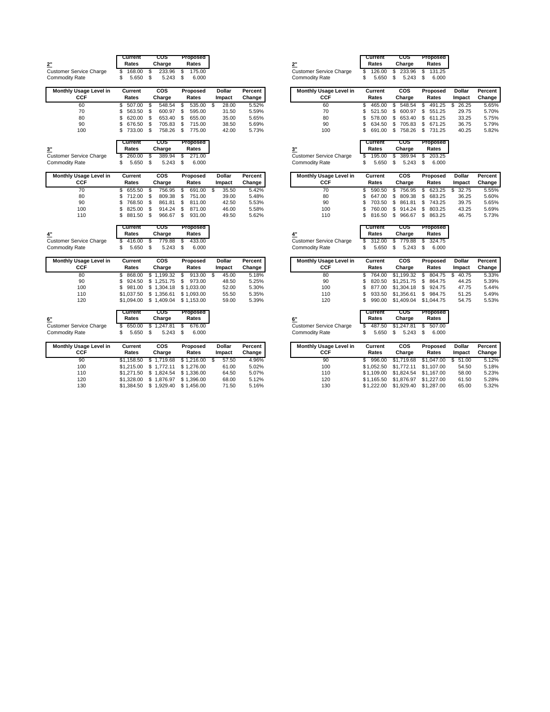|                                | Current      | cos            | Proposed      |               |         |                                | Current      | cos               | Proposed     |
|--------------------------------|--------------|----------------|---------------|---------------|---------|--------------------------------|--------------|-------------------|--------------|
| 2"                             | Rates        | Charge         | Rates         |               |         | 2"                             | Rates        | Charge            | Rates        |
| <b>Customer Service Charge</b> | 168.00<br>\$ | \$<br>233.96   | 175.00<br>\$  |               |         | <b>Customer Service Charge</b> | 126.00<br>\$ | \$<br>233.96      | 131.25<br>\$ |
| <b>Commodity Rate</b>          | \$<br>5.650  | \$<br>5.243    | \$<br>6.000   |               |         | <b>Commodity Rate</b>          | \$<br>5.650  | \$<br>5.243       | \$<br>6.000  |
| Monthly Usage Level in         | Current      | <b>COS</b>     | Proposed      | <b>Dollar</b> | Percent | Monthly Usage Level in         | Current      | <b>COS</b>        | Proposed     |
| <b>CCF</b>                     | Rates        | Charge         | Rates         | Impact        | Change  | CCF                            | Rates        | Charge            | Rates        |
| 60                             | 507.00<br>\$ | S<br>548.54    | 535.00<br>\$  | 28.00<br>-S   | 5.52%   | 60                             | 465.00<br>S  | \$<br>548.54      | 491.25<br>S  |
| 70                             | \$<br>563.50 | S<br>600.97    | \$<br>595.00  | 31.50         | 5.59%   | 70                             | S<br>521.50  | \$<br>600.97      | \$<br>551.25 |
| 80                             | \$<br>620.00 | \$<br>653.40   | \$<br>655.00  | 35.00         | 5.65%   | 80                             | S<br>578.00  | \$<br>653.40      | 611.25<br>\$ |
| 90                             | \$<br>676.50 | \$<br>705.83   | \$.<br>715.00 | 38.50         | 5.69%   | 90                             | Ś<br>634.50  | \$<br>705.83      | S<br>671.25  |
| 100                            | 733.00<br>\$ | - \$<br>758.26 | \$<br>775.00  | 42.00         | 5.73%   | 100                            | 691.00<br>\$ | \$<br>758.26      | 731.25<br>\$ |
|                                | Current      | cos            | Proposed      |               |         |                                | Current      | cos               | Proposed     |
| 3 <sup>0</sup>                 | Rates        | Charge         | Rates         |               |         | 3 <sup>0</sup>                 | Rates        | Charge            | Rates        |
| <b>Customer Service Charge</b> | 260.00<br>S  | 389.94<br>-S   | \$<br>271.00  |               |         | <b>Customer Service Charge</b> | 195.00<br>S  | \$<br>389.94      | 203.25<br>S  |
| <b>Commodity Rate</b>          | \$<br>5.650  | - \$<br>5.243  | \$<br>6.000   |               |         | <b>Commodity Rate</b>          | S<br>5.650   | \$<br>5.243       | \$<br>6.000  |
| Monthly Usage Level in         | Current      | <b>COS</b>     | Proposed      | Dollar        | Percent | Monthly Usage Level in         | Current      | $\overline{\cos}$ | Proposed     |
| <b>CCF</b>                     | Rates        | Charge         | Rates         | Impact        | Change  | CCF                            | Rates        | Charge            | Rates        |
| 70                             | \$<br>655.50 | S<br>756.95    | 691.00<br>\$  | Ŝ.<br>35.50   | 5.42%   | 70                             | \$<br>590.50 | \$<br>756.95      | 623.25<br>\$ |
| 80                             | \$<br>712.00 | S<br>809.38    | \$<br>751.00  | 39.00         | 5.48%   | 80                             | S<br>647.00  | \$<br>809.38      | S<br>683.25  |
| 90                             | \$<br>768.50 | S<br>861.81    | \$<br>811.00  | 42.50         | 5.53%   | 90                             | S<br>703.50  | S<br>861.81       | S<br>743.25  |
| 100                            | \$<br>825.00 | S<br>914.24    | \$<br>871.00  | 46.00         | 5.58%   | 100                            | S<br>760.00  | \$<br>914.24      | S<br>803.25  |
| 110                            | 881.50<br>\$ | \$<br>966.67   | \$<br>931.00  | 49.50         | 5.62%   | 110                            | Ś<br>816.50  | \$<br>966.67      | \$<br>863.25 |
|                                | Current      | cos            | Proposed      |               |         |                                | Current      | cos               | Proposed     |
| 4"                             | Rates        | Charge         | Rates         |               |         | 4"                             | Rates        | Charge            | Rates        |
| <b>Customer Service Charge</b> | \$<br>416.00 | S<br>779.88    | 433.00<br>\$  |               |         | <b>Customer Service Charge</b> | 312.00<br>\$ | \$<br>779.88      | 324.75<br>S  |
| <b>Commodity Rate</b>          | \$<br>5.650  | - \$<br>5.243  | \$<br>6.000   |               |         | <b>Commodity Rate</b>          | \$<br>5.650  | S<br>5.243        | \$<br>6.000  |
| Monthly Usage Level in         | Current      | cos            | Proposed      | <b>Dollar</b> | Percent | Monthly Usage Level in         | Current      | <b>COS</b>        | Proposed     |
| <b>CCF</b>                     | Rates        | Charge         | Rates         | Impact        | Change  | CCF                            | Rates        | Charge            | Rates        |
| 80                             | \$<br>868.00 | \$1.199.32     | \$<br>913.00  | 45.00<br>-S   | 5.18%   | 80                             | \$<br>764.00 | \$1,199.32        | 804.75<br>S  |
| 90                             | \$<br>924.50 | \$1,251.75     | \$<br>973.00  | 48.50         | 5.25%   | 90                             | S<br>820.50  | \$1,251.75        | S<br>864.75  |
| 100                            | \$<br>981.00 | \$1.304.18     | \$1,033.00    | 52.00         | 5.30%   | 100                            | S<br>877.00  | \$1,304.18        | 924.75<br>S  |
| 110                            | \$1,037.50   | \$1,356.61     | \$1,093.00    | 55.50         | 5.35%   | 110                            | S<br>933.50  | \$1,356.61        | \$<br>984.75 |
| 120                            | \$1,094.00   | \$1,409.04     | \$1,153.00    | 59.00         | 5.39%   | 120                            | 990.00<br>\$ | \$1,409.04        | \$1,044.75   |
|                                | Current      | cos            | Proposed      |               |         |                                | Current      | cos               | Proposed     |
| 6"                             | Rates        | Charge         | Rates         |               |         | 6"                             | Rates        | Charge            | Rates        |
| <b>Customer Service Charge</b> | 650.00<br>\$ | \$<br>1,247.81 | \$<br>676.00  |               |         | <b>Customer Service Charge</b> | 487.50<br>S  | \$1,247.81        | \$<br>507.00 |
| <b>Commodity Rate</b>          | \$<br>5.650  | \$<br>5.243    | \$<br>6.000   |               |         | <b>Commodity Rate</b>          | \$<br>5.650  | \$<br>5.243       | \$<br>6.000  |
| Monthly Usage Level in         | Current      | COS            | Proposed      | <b>Dollar</b> | Percent | Monthly Usage Level in         | Current      | <b>COS</b>        | Proposed     |
| $\sim$                         | в.           |                |               |               | $\sim$  | $\sim$                         | n-           | CH.               | n.           |

|     | "          | ----                                  | .     | PYNU   | .      |
|-----|------------|---------------------------------------|-------|--------|--------|
| CCF | Rates      | Charge                                | Rates | Impact | Change |
| 90  |            | \$1.158.50 \$ 1.719.68 \$ 1.216.00 \$ |       | 57.50  | 4.96%  |
| 100 |            | \$1.215.00 \$ 1.772.11 \$ 1.276.00    |       | 61.00  | 5.02%  |
| 110 |            | \$1,271.50 \$1,824.54 \$1,336.00      |       | 64.50  | 5.07%  |
| 120 |            | \$1,328,00 \$1,876.97 \$1,396.00      |       | 68.00  | 5.12%  |
| 130 | \$1,384.50 | \$1,929.40 \$1,456.00                 |       | 71.50  | 5.16%  |

|                      | Current<br>Rates            | cos<br>Charge                 | Proposed<br>Rates           |               |         | <u>2"</u>                                               | Current<br>Rates            | cos<br>Charge               | Proposed<br>Rates           |               |         |
|----------------------|-----------------------------|-------------------------------|-----------------------------|---------------|---------|---------------------------------------------------------|-----------------------------|-----------------------------|-----------------------------|---------------|---------|
| rvice Charge<br>ate: | 168.00<br>\$<br>\$<br>5.650 | \$<br>233.96<br>\$<br>5.243   | \$<br>175.00<br>\$<br>6.000 |               |         | <b>Customer Service Charge</b><br><b>Commodity Rate</b> | 126.00<br>S<br>\$<br>5.650  | 233.96<br>\$<br>\$<br>5.243 | S<br>131.25<br>\$<br>6.000  |               |         |
| sage Level in        | Current                     | cos                           | Proposed                    | Dollar        | Percent | Monthly Usage Level in                                  | Current                     | cos                         | Proposed                    | Dollar        | Percent |
| CCF                  | Rates                       | Charge                        | Rates                       | Impact        | Change  | CCF                                                     | Rates                       | Charge                      | Rates                       | Impact        | Change  |
| 60                   | \$<br>507.00                | \$<br>548.54                  | \$<br>535.00                | 28.00<br>- \$ | 5.52%   | 60                                                      | \$<br>465.00                | \$<br>548.54                | 491.25<br>\$                | 26.25<br>\$   | 5.65%   |
| 70                   | \$<br>563.50                | \$<br>600.97                  | \$<br>595.00                | 31.50         | 5.59%   | 70                                                      | \$<br>521.50                | 600.97<br>S                 | \$<br>551.25                | 29.75         | 5.70%   |
| 80                   | \$<br>620.00                | \$<br>653.40                  | \$<br>655.00                | 35.00         | 5.65%   | 80                                                      | \$<br>578.00                | \$<br>653.40                | \$<br>611.25                | 33.25         | 5.75%   |
| 90                   | \$<br>676.50                | 705.83<br>\$                  | \$<br>715.00                | 38.50         | 5.69%   | 90                                                      | \$<br>634.50                | 705.83<br>\$                | 671.25<br>\$                | 36.75         | 5.79%   |
| 100                  | \$<br>733.00                | \$<br>758.26                  | \$<br>775.00                | 42.00         | 5.73%   | 100                                                     | \$<br>691.00                | \$<br>758.26                | \$731.25                    | 40.25         | 5.82%   |
|                      | Current                     | cos                           | Proposed                    |               |         |                                                         | Current                     | cos                         | Proposed                    |               |         |
|                      | Rates                       | Charge                        | Rates                       |               |         | 3"                                                      | Rates                       | Charge                      | Rates                       |               |         |
| rvice Charge         | 260.00<br>\$                | 389.94<br>S                   | \$<br>271.00                |               |         | <b>Customer Service Charge</b>                          | 195.00<br>\$                | 389.94<br>\$                | S<br>203.25                 |               |         |
| ate:                 | \$<br>5.650                 | \$<br>5.243                   | \$<br>6.000                 |               |         | <b>Commodity Rate</b>                                   | \$<br>5.650                 | \$<br>5.243                 | \$<br>6.000                 |               |         |
| sage Level in        | Current                     | cos                           | Proposed                    | Dollar        | Percent | Monthly Usage Level in                                  | Current                     | cos                         | Proposed                    | Dollar        | Percent |
| CCF                  | Rates                       | Charge                        | Rates                       | Impact        | Change  | <b>CCF</b>                                              | Rates                       | Charge                      | Rates                       | Impact        | Change  |
| 70                   | \$<br>655.50                | 756.95<br>S,                  | \$<br>691.00                | 35.50<br>-S   | 5.42%   | 70                                                      | \$<br>590.50                | \$<br>756.95                | \$<br>623.25                | 32.75<br>\$   | 5.55%   |
| 80                   | \$<br>712.00                | \$<br>809.38                  | \$<br>751.00                | 39.00         | 5.48%   | 80                                                      | Ŝ<br>647.00                 | \$<br>809.38                | \$<br>683.25                | 36.25         | 5.60%   |
| 90                   | \$<br>768.50                | \$<br>861.81                  | \$<br>811.00                | 42.50         | 5.53%   | 90                                                      | \$<br>703.50                | \$<br>861.81                | 743.25<br>\$                | 39.75         | 5.65%   |
| 100                  | \$<br>825.00                | S<br>914.24                   | \$<br>871.00                | 46.00         | 5.58%   | 100                                                     | S<br>760.00                 | 914.24<br>S                 | 803.25<br>S                 | 43.25         | 5.69%   |
| 110                  | \$<br>881.50                | \$<br>966.67                  | \$<br>931.00                | 49.50         | 5.62%   | 110                                                     | \$<br>816.50                | \$<br>966.67                | \$<br>863.25                | 46.75         | 5.73%   |
|                      | Current                     | cos                           | Proposed                    |               |         |                                                         | Current                     | cos                         | Proposed                    |               |         |
|                      | Rates                       | Charge                        | Rates                       |               |         | 4"                                                      | Rates                       | Charge                      | Rates                       |               |         |
| rvice Charge         | 416.00<br>\$                | 779.88<br>\$                  | 433.00<br>\$                |               |         | <b>Customer Service Charge</b>                          | 312.00<br>\$                | \$<br>779.88                | \$<br>324.75                |               |         |
| ate:                 | \$<br>5.650                 | \$<br>5.243                   | \$<br>6.000                 |               |         | <b>Commodity Rate</b>                                   | \$<br>5.650                 | \$<br>5.243                 | 6.000<br>\$                 |               |         |
| sage Level in        | Current                     | cos                           | Proposed                    | Dollar        | Percent | Monthly Usage Level in                                  | Current                     | <b>COS</b>                  | Proposed                    | <b>Dollar</b> | Percent |
| CCF                  | Rates                       | Charge                        | Rates                       | Impact        | Change  | <b>CCF</b>                                              | Rates                       | Charge                      | Rates                       | Impact        | Change  |
| 80                   | \$<br>868.00                | 1,199.32<br>\$                | \$<br>913.00                | 45.00<br>\$   | 5.18%   | 80                                                      | 764.00<br>\$                | \$1,199.32                  | \$<br>804.75                | 40.75<br>\$   | 5.33%   |
| 90                   | \$<br>924.50                | \$1,251.75                    | \$<br>973.00                | 48.50         | 5.25%   | 90                                                      | Ŝ<br>820.50                 | \$1,251.75                  | \$<br>864.75                | 44.25         | 5.39%   |
| 100                  | \$<br>981.00                | \$1,304.18                    | \$1,033.00                  | 52.00         | 5.30%   | 100                                                     | \$<br>877.00                | \$1,304.18                  | 924.75<br>\$                | 47.75         | 5.44%   |
| 110                  | \$1,037.50                  | \$1,356.61                    | \$1,093.00                  | 55.50         | 5.35%   | 110                                                     | \$<br>933.50                | \$1,356.61                  | 984.75<br>\$                | 51.25         | 5.49%   |
| 120                  | \$1,094.00                  | \$1,409.04                    | \$1,153.00                  | 59.00         | 5.39%   | 120                                                     | \$<br>990.00                | \$1,409.04                  | \$1,044.75                  | 54.75         | 5.53%   |
|                      | Current                     | cos                           | Proposed                    |               |         |                                                         | Current                     | cos                         | Proposed                    |               |         |
|                      | Rates                       | Charge                        | Rates                       |               |         | 6"                                                      | Rates                       | Charge                      | Rates                       |               |         |
| rvice Charge<br>ate: | 650.00<br>\$<br>\$<br>5.650 | 1,247.81<br>\$<br>\$<br>5.243 | \$<br>676.00<br>6.000<br>\$ |               |         | <b>Customer Service Charge</b><br><b>Commodity Rate</b> | 487.50<br>\$<br>\$<br>5.650 | \$1,247.81<br>\$<br>5.243   | 507.00<br>\$<br>6.000<br>\$ |               |         |
| sage Level in        | Current                     | COS                           | Proposed                    | Dollar        | Percent | Monthly Usage Level in                                  | Current                     | <b>COS</b>                  | Proposed                    | <b>Dollar</b> | Percent |
| CCF                  | Rates                       | Charge                        | Rates                       | Impact        | Change  | <b>CCF</b>                                              | Rates                       | Charge                      | Rates                       | Impact        | Change  |
| 90                   | \$1.158.50                  | \$1,719.68                    | \$1,216.00                  | 57.50<br>\$   | 4.96%   | 90                                                      | \$<br>996.00                | \$1,719.68                  | \$1,047.00                  | \$<br>51.00   | 5.12%   |
| 100                  | \$1,215.00                  | \$1,772.11                    | \$1,276.00                  | 61.00         | 5.02%   | 100                                                     | \$1,052.50                  | \$1,772.11                  | \$1,107.00                  | 54.50         | 5.18%   |
|                      | \$1,271.50                  | \$1,824.54                    | \$1,336.00                  | 64.50         | 5.07%   | 110                                                     | \$1,109.00                  | \$1,824.54                  | \$1,167.00                  | 58.00         | 5.23%   |
|                      |                             |                               |                             |               |         |                                                         |                             |                             |                             |               |         |
| 110<br>120           | \$1,328.00                  | \$1,876.97                    | \$1,396.00                  | 68.00         | 5.12%   | 120                                                     | \$1,165.50                  | \$1,876.97                  | \$1,227.00                  | 61.50         | 5.28%   |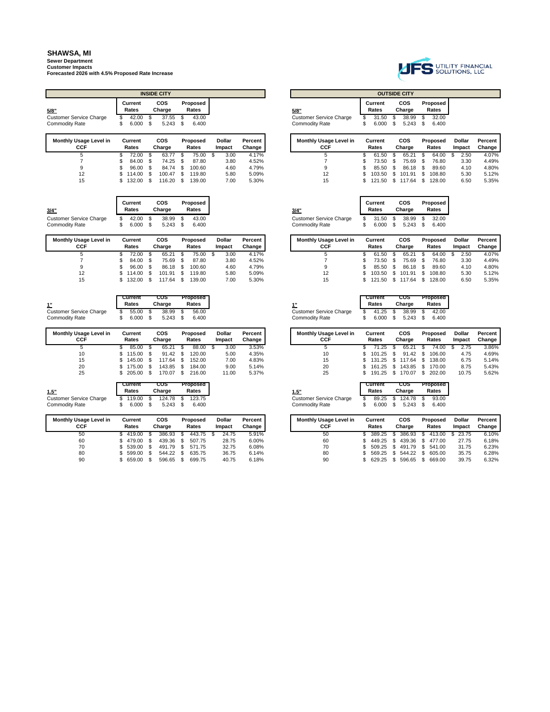**Sewer Department Customer Impacts Forecasted 2026 with 4.5% Proposed Rate Increase**

|                                      |                  |      | <b>INSIDE CITY</b>   |      |                          |  |                         |                   |                                      |  |                  |                      | <b>OUTSIDE CITY</b>  |      |                   |
|--------------------------------------|------------------|------|----------------------|------|--------------------------|--|-------------------------|-------------------|--------------------------------------|--|------------------|----------------------|----------------------|------|-------------------|
| 5/8"                                 | Current<br>Rates |      | <b>COS</b><br>Charge |      | Proposed<br>Rates        |  |                         |                   | 5/8"                                 |  | Current<br>Rates |                      | <b>COS</b><br>Charge |      | Proposed<br>Rates |
| Customer Service Charge              | 42.00            |      | 37.55<br>-S          | - \$ | 43.00                    |  |                         |                   | <b>Customer Service Charge</b>       |  | 31.50            | \$                   | 38.99                |      | 32.00             |
| <b>Commodity Rate</b>                | 6.000<br>S       |      | $5.243$ \$<br>- \$   |      | 6.400                    |  |                         |                   | <b>Commodity Rate</b>                |  | 6.000            | S                    | 5.243                | - \$ | 6.400             |
| Monthly Usage Level in<br><b>CCF</b> | Current<br>Rates |      | <b>COS</b><br>Charge |      | <b>Proposed</b><br>Rates |  | <b>Dollar</b><br>Impact | Percent<br>Change | <b>Monthly Usage Level in</b><br>CCF |  | Current<br>Rates | <b>COS</b><br>Charge |                      |      | Proposed<br>Rates |
| 5                                    | 72.00            |      | 63.77                |      | 75.00                    |  | 3.00                    | 4.17%             | 5                                    |  | 61.50            |                      | 65.21                |      | 64.00             |
|                                      | 84.00 \$         |      | $74.25$ \$           |      | 87.80                    |  | 3.80                    | 4.52%             |                                      |  | 73.50            | \$.                  | 75.69                | - S  | 76.80             |
| 9                                    | 96.00            | - \$ | 84.74                | . ድ  | 100.60                   |  | 4.60                    | 4.79%             | 9                                    |  | 85.50            | \$.                  | 86.18                | - S  | 89.60             |
| 12                                   | 114.00 S         |      | 100.47               | - \$ | 119.80                   |  | 5.80                    | 5.09%             | 12                                   |  | 103.50           | \$.                  | 101.91               | -S   | 108.80            |
| 15                                   | 132.00           |      | 116.20 \$            |      | 139.00                   |  | 7.00                    | 5.30%             | 15                                   |  | 121.50           | -S                   | 117.64               | - \$ | 128.00            |

| 3/4"                           | Current<br>Rates | <b>COS</b><br>Charge |          | Proposed<br>Rates |       |
|--------------------------------|------------------|----------------------|----------|-------------------|-------|
| <b>Customer Service Charge</b> | 42.00            |                      | 38.99 \$ |                   | 43.00 |
| <b>Commodity Rate</b>          | 6.000            |                      | 5.243    |                   | 6.400 |

| Monthly Usage Level in<br>CCF | Current<br>Rates |     | <b>COS</b><br>Charge |     | Proposed<br>Rates | <b>Dollar</b><br>Impact | Percent<br>Change |  |  |
|-------------------------------|------------------|-----|----------------------|-----|-------------------|-------------------------|-------------------|--|--|
| 5.                            | 72.00            |     | 65.21                |     | 75.00             | 3.00                    | 4.17%             |  |  |
|                               | 84.00            | \$. | 75.69                | £.  | 87.80             | 3.80                    | 4.52%             |  |  |
| 9                             | 96.00            | \$. | 86.18                | £.  | 100.60            | 4.60                    | 4.79%             |  |  |
| 12                            | 114.00           | \$. | 101.91               | \$. | 119.80            | 5.80                    | 5.09%             |  |  |
| 15                            | 132.00           |     | 117 64               |     | 139.00            | 7 NO                    | 530%              |  |  |

| 1"                             |    | Current<br>Rates |      | cos<br>Charge | Proposed<br>Rates |
|--------------------------------|----|------------------|------|---------------|-------------------|
| <b>Customer Service Charge</b> | S. | 55.00            | - \$ | 38.99         | 56.00             |
| <b>Commodity Rate</b>          |    | 6.000            | - \$ | 5.243         | 6.400             |

| Monthly Usage Level in<br>CCF |     | Current<br>Rates |     | <b>COS</b><br>Charge |     | Proposed<br>Rates |    | <b>Dollar</b><br>Impact | Percent<br>Change |  |  |
|-------------------------------|-----|------------------|-----|----------------------|-----|-------------------|----|-------------------------|-------------------|--|--|
| 5                             |     | 85.00            | \$. | 65.21                | \$  | 88.00             | -S | 3.00                    | 3.53%             |  |  |
| 10                            | S.  | 115.00           | -S  | 91.42                | \$. | 120.00            |    | 5.00                    | 4.35%             |  |  |
| 15                            | SS. | 145.00           | S.  | 117.64               | \$  | 152.00            |    | 7.00                    | 4.83%             |  |  |
| 20                            |     | 175.00           | \$. | 143.85               | \$  | 184.00            |    | 9.00                    | 5.14%             |  |  |
| 25                            | S.  | 205.00           | S   | 170.07               |     | 216.00            |    | 11.00                   | 5.37%             |  |  |

|                         | Current | cos    | Proposed         |
|-------------------------|---------|--------|------------------|
|                         | Rates   | Charge | Rates            |
| Customer Service Charge | 119.00  |        | 124.78 \$ 123.75 |
| <b>Commodity Rate</b>   | 6.000   | 5.243  | 6.400            |

| Monthly Usage Level in<br>CCF |             | Current<br>Rates |    | cos<br>Charge |     | <b>Proposed</b><br>Rates |  | <b>Dollar</b><br>Impact | Percent<br>Change |
|-------------------------------|-------------|------------------|----|---------------|-----|--------------------------|--|-------------------------|-------------------|
| 50                            | S           | 419.00           | S  | 386.93        | \$  | 443.75                   |  | 24.75                   | 5.91%             |
| 60                            |             | 479.00           | S  | 439.36        | \$  | 507.75                   |  | 28.75                   | 6.00%             |
| 70                            | S           | 539.00           | S  | 491.79        | \$  | 571.75                   |  | 32.75                   | 6.08%             |
| 80                            | 599.00<br>S |                  | S  | 544.22        | \$  | 635.75                   |  | 36.75                   | 6.14%             |
| 90                            |             | 659.00           | \$ | 596.65        | \$. | 699.75                   |  | 40.75                   | 6.18%             |



**Proposed Rates**

|  | <b>INSIDE CITY</b>   |                   |  |                                |                  |     | <b>OUTSIDE CITY</b> |                          |
|--|----------------------|-------------------|--|--------------------------------|------------------|-----|---------------------|--------------------------|
|  | <b>COS</b><br>Charge | Proposed<br>Rates |  | 5/8"                           | Current<br>Rates |     | COS<br>Charge       | <b>Proposed</b><br>Rates |
|  | 37.55                | 43.00             |  | <b>Customer Service Charge</b> | 31.50            |     | 38.99               | 32.00                    |
|  | 5.243                | 6.400             |  | <b>Commodity Rate</b>          | 6.000            | \$. | 5.243               | 6.400                    |

| sage Level in<br>:CF | Current<br>Rates | cos<br>Charge |        |     | <b>Proposed</b><br>Rates | Dollar<br>Impact | Percent<br>Change | <b>Monthly Usage Level in</b><br>CCF | Current<br>Rates |      | cos<br>Charge    | <b>Proposed</b><br>Rates | <b>Dollar</b><br>Impact | Percent<br>Change |
|----------------------|------------------|---------------|--------|-----|--------------------------|------------------|-------------------|--------------------------------------|------------------|------|------------------|--------------------------|-------------------------|-------------------|
| 5                    | 72.00            |               | 63.77  |     | 75.00                    | 3.00             | 4.17%             |                                      | 61<br>. 50       |      | 65.21            | 64.00                    | 2.50                    | 4.07%             |
|                      | 84.00 \$         |               | 74.25  |     | 87.80                    | 3.80             | 4.52%             |                                      | 73.50            |      | 75.69            | 76.80                    | 3.30                    | 4.49%             |
| 9                    | 96.00 \$         |               | 84.74  | \$. | 100.60                   | 4.60             | 4.79%             |                                      | 85.50            |      | 86.18            | 89.60                    | 4.10                    | 4.80%             |
| 12                   | 114.00           |               | 100.47 |     | 119.80                   | 5.80             | 5.09%             |                                      | 103.50           | . SS | 101.91           | 108.80                   | 5.30                    | 5.12%             |
| 15                   | 132.00           |               | 116.20 |     | 139.00                   | 7.00             | 5.30%             | 15                                   |                  |      | 121.50 \$ 117.64 | 128.00                   | 6.50                    | 5.35%             |

| /4"                    | Current<br>Rates | COS<br>Charge |
|------------------------|------------------|---------------|
| ustomer Service Charge | 31.50            | \$<br>38.99   |
| ommodity Rate          | 6.000            | 5.243         |

| sage Level in<br>CF | Current<br>Rates |           | COS<br>Charge |  | Proposed<br>Rates | Dollar<br>Impact | Percent<br>Change | <b>Monthly Usage Level in</b><br>CCF | Current<br>Rates | cos<br>Charge  | Proposed<br>Rates | <b>Dollar</b><br>Impact | Percent<br>Change |
|---------------------|------------------|-----------|---------------|--|-------------------|------------------|-------------------|--------------------------------------|------------------|----------------|-------------------|-------------------------|-------------------|
| 5                   |                  | 72.00     | 65.21         |  | 75.00             | 3.00             | 4.17%             |                                      | 61.50            | $65.2^{\circ}$ | 64.00             | 2.50                    | 4.07%             |
|                     |                  | 84.00 \$  | 75.69         |  | 87.80             | 3.80             | 4.52%             |                                      | 73.50 \$         | 75.69          | 76.80             | 3.30                    | 4.49%             |
| 9                   |                  | 96.00 \$  | 86.18 \$      |  | 100.60            | 4.60             | 4.79%             |                                      | 85.50 \$         | 86.18          | 89.60             | 4.10                    | 4.80%             |
| 12                  |                  | 114.00 \$ | 101.91        |  | 119.80            | 5.80             | 5.09%             | 12                                   | 103.50 \$        | 101.91 \$      | 108.80            | 5.30                    | 5.12%             |
| 15                  |                  | 132.00 \$ | 117.64        |  | 139.00            | 7.00             | 5.30%             | 15                                   | 121.50 \$ 117.64 |                | 128.00            | 6.50                    | 5.35%             |

| 4 H                     | Current<br>Rates | COS<br>Charge | <b>Proposed</b><br>Rates |
|-------------------------|------------------|---------------|--------------------------|
| Customer Service Charge | 55.00            | 38.99         | 56.00                    |
| Commoditv Rate          | 6.000            | 5.243         | 6.400                    |

**Cur** 

| sage Level in<br>:CF | Current<br>Rates |        | cos<br>Charge | Proposed<br>Rates | Dollar<br>Impact | <b>Percent</b> I<br>Change | <b>Monthly Usage Level in</b><br>CCF | Current<br>Rates | cos<br>Charge | Proposed<br>Rates | Dollar<br>Impact | Percent<br>Change |
|----------------------|------------------|--------|---------------|-------------------|------------------|----------------------------|--------------------------------------|------------------|---------------|-------------------|------------------|-------------------|
| 5                    |                  | 85.00  | 65.21         | 88.00             | 3.00             | $3.53\%$                   |                                      | 71.25            | 65.21         | 74.00             | 2.75             | 3.86%             |
| 10                   |                  | 115.00 | 91.42         | 120.00            | 5.00             | 4.35%                      | 10                                   | 101.25           | 91.42         | 106.00            | 4.75             | 4.69%             |
| 15                   |                  | 145.00 | 17.64         | 152.00            | 7.00             | 4.83%                      | 15                                   | 131.25           | 117.64        | 138.00            | 6.75             | 5.14%             |
| 20                   |                  | 175.00 | 143.85        | 184.00            | 9.00             | 5.14%                      | 20                                   | 161.25           | 143.85        | 170.00            | 8.75             | 5.43%             |
| 25                   |                  | 205.00 | 170.07        | 216.00            | 11.00            | 5.37%                      | 25                                   | 191.25           | 170.07        | 202.00            | 10.75            | 5.62%             |

| 1.5"                    |
|-------------------------|
| Customer Service Charge |
| Commodity Date          |

| Current<br>Rates |      | cos<br>Charge | Proposed<br>Rates |       |  |  |  |  |  |
|------------------|------|---------------|-------------------|-------|--|--|--|--|--|
| 89.25            | - \$ | 124.78        | -S                | 93.00 |  |  |  |  |  |
| e nnn            |      | $F \Omega$    |                   | 0.100 |  |  |  |  |  |

| sage Level in<br>:CF | Rates | Current | cos<br>Charge |        |      | Proposed<br>Rates | Dollar<br>Impact | <b>Percent</b><br>Change I |  | <b>Monthly Usage Level in</b><br>CCF | Current<br>Rates | cos<br>Charge              | <b>Proposed</b><br>Rates | Dollar<br>Impact | Percent<br>Change |
|----------------------|-------|---------|---------------|--------|------|-------------------|------------------|----------------------------|--|--------------------------------------|------------------|----------------------------|--------------------------|------------------|-------------------|
| 50                   |       | 419.00  |               | 386.93 |      | 443.75            | 24.75            | 5.91%                      |  | 50                                   | 389.25           | 386.93 \$                  | 413.00                   | 23.75            |                   |
| 60                   |       | 479.00  |               | 439.36 |      | 507.75            | 28.75            | 6.00%                      |  | 60                                   | 449.25 \$        | 439.36 \$                  | 477.00                   | 27.75            |                   |
| 70                   |       | 539.00  |               | 491.79 | - \$ | 571.75            | 32.75            | 6.08%                      |  | 70                                   |                  | 509.25 \$ 491.79 \$ 541.00 |                          | 31.75            |                   |
| 80                   |       | 599.00  |               | 544.22 |      | 635.75            | 36.75            | 6.14%                      |  | 80                                   | 569.25 \$        | 544.22 \$ 605.00           |                          | 35.75            |                   |
| 90                   |       | 659.00  |               | 596.65 |      | 699.75            | 40.75            | 6.18%                      |  | 90                                   | 629.25           | 596.65 \$                  | 669.00                   | 39.75            |                   |